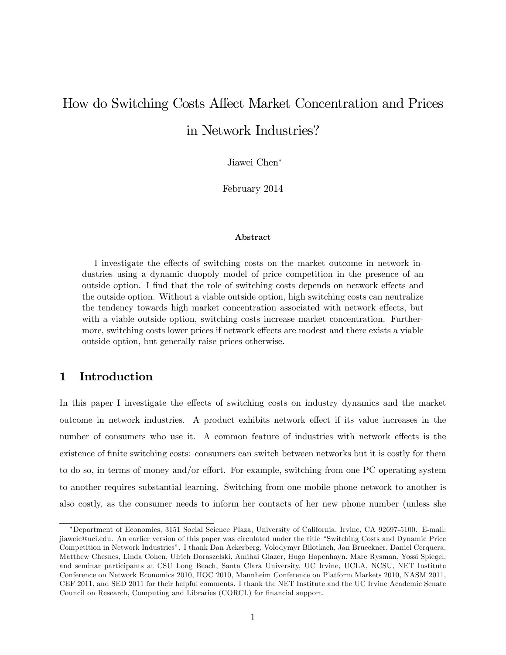# How do Switching Costs Affect Market Concentration and Prices in Network Industries?

Jiawei Chen

February 2014

#### Abstract

I investigate the effects of switching costs on the market outcome in network industries using a dynamic duopoly model of price competition in the presence of an outside option. I find that the role of switching costs depends on network effects and the outside option. Without a viable outside option, high switching costs can neutralize the tendency towards high market concentration associated with network effects, but with a viable outside option, switching costs increase market concentration. Furthermore, switching costs lower prices if network effects are modest and there exists a viable outside option, but generally raise prices otherwise.

# 1 Introduction

In this paper I investigate the effects of switching costs on industry dynamics and the market outcome in network industries. A product exhibits network effect if its value increases in the number of consumers who use it. A common feature of industries with network effects is the existence of finite switching costs: consumers can switch between networks but it is costly for them to do so, in terms of money and/or effort. For example, switching from one PC operating system to another requires substantial learning. Switching from one mobile phone network to another is also costly, as the consumer needs to inform her contacts of her new phone number (unless she

Department of Economics, 3151 Social Science Plaza, University of California, Irvine, CA 92697-5100. E-mail: jiaweic@uci.edu. An earlier version of this paper was circulated under the title "Switching Costs and Dynamic Price Competition in Network Industriesî. I thank Dan Ackerberg, Volodymyr Bilotkach, Jan Brueckner, Daniel Cerquera, Matthew Chesnes, Linda Cohen, Ulrich Doraszelski, Amihai Glazer, Hugo Hopenhayn, Marc Rysman, Yossi Spiegel, and seminar participants at CSU Long Beach, Santa Clara University, UC Irvine, UCLA, NCSU, NET Institute Conference on Network Economics 2010, IIOC 2010, Mannheim Conference on Platform Markets 2010, NASM 2011, CEF 2011, and SED 2011 for their helpful comments. I thank the NET Institute and the UC Irvine Academic Senate Council on Research, Computing and Libraries (CORCL) for financial support.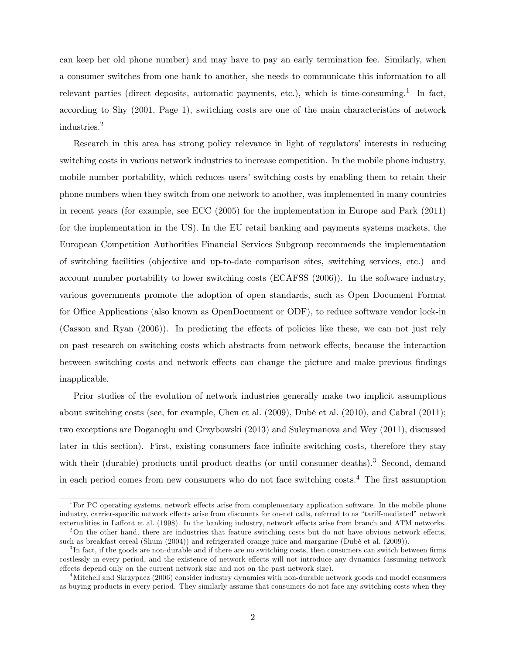can keep her old phone number) and may have to pay an early termination fee. Similarly, when a consumer switches from one bank to another, she needs to communicate this information to all relevant parties (direct deposits, automatic payments, etc.), which is time-consuming.<sup>1</sup> In fact, according to Shy (2001, Page 1), switching costs are one of the main characteristics of network industries.<sup>2</sup>

Research in this area has strong policy relevance in light of regulators' interests in reducing switching costs in various network industries to increase competition. In the mobile phone industry, mobile number portability, which reduces users' switching costs by enabling them to retain their phone numbers when they switch from one network to another, was implemented in many countries in recent years (for example, see ECC (2005) for the implementation in Europe and Park (2011) for the implementation in the US). In the EU retail banking and payments systems markets, the European Competition Authorities Financial Services Subgroup recommends the implementation of switching facilities (objective and up-to-date comparison sites, switching services, etc.) and account number portability to lower switching costs (ECAFSS (2006)). In the software industry, various governments promote the adoption of open standards, such as Open Document Format for Office Applications (also known as OpenDocument or ODF), to reduce software vendor lock-in (Casson and Ryan  $(2006)$ ). In predicting the effects of policies like these, we can not just rely on past research on switching costs which abstracts from network effects, because the interaction between switching costs and network effects can change the picture and make previous findings inapplicable.

Prior studies of the evolution of network industries generally make two implicit assumptions about switching costs (see, for example, Chen et al. (2009), DubÈ et al. (2010), and Cabral (2011); two exceptions are Doganoglu and Grzybowski (2013) and Suleymanova and Wey (2011), discussed later in this section). First, existing consumers face infinite switching costs, therefore they stay with their (durable) products until product deaths (or until consumer deaths).<sup>3</sup> Second, demand in each period comes from new consumers who do not face switching  $\cos t s$ .<sup>4</sup> The first assumption

 ${}^{1}$ For PC operating systems, network effects arise from complementary application software. In the mobile phone industry, carrier-specific network effects arise from discounts for on-net calls, referred to as "tariff-mediated" network externalities in Laffont et al. (1998). In the banking industry, network effects arise from branch and ATM networks.

 $2$ On the other hand, there are industries that feature switching costs but do not have obvious network effects, such as breakfast cereal (Shum (2004)) and refrigerated orange juice and margarine (Dubé et al. (2009)).

 ${}^{3}$ In fact, if the goods are non-durable and if there are no switching costs, then consumers can switch between firms costlessly in every period, and the existence of network effects will not introduce any dynamics (assuming network effects depend only on the current network size and not on the past network size).

<sup>4</sup>Mitchell and Skrzypacz (2006) consider industry dynamics with non-durable network goods and model consumers as buying products in every period. They similarly assume that consumers do not face any switching costs when they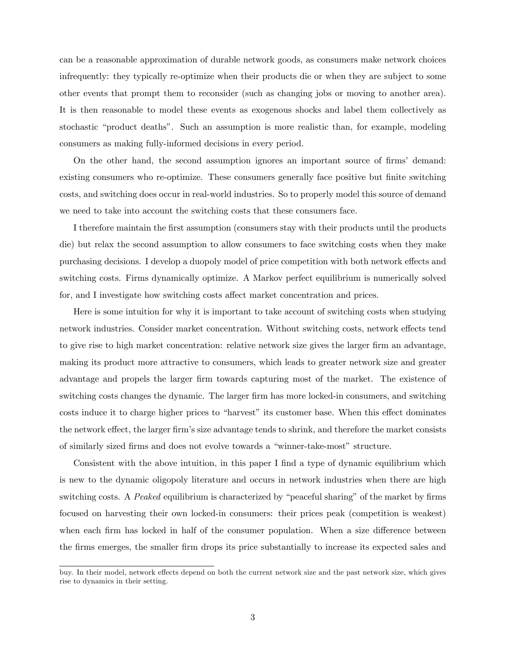can be a reasonable approximation of durable network goods, as consumers make network choices infrequently: they typically re-optimize when their products die or when they are subject to some other events that prompt them to reconsider (such as changing jobs or moving to another area). It is then reasonable to model these events as exogenous shocks and label them collectively as stochastic "product deaths". Such an assumption is more realistic than, for example, modeling consumers as making fully-informed decisions in every period.

On the other hand, the second assumption ignores an important source of firms' demand: existing consumers who re-optimize. These consumers generally face positive but finite switching costs, and switching does occur in real-world industries. So to properly model this source of demand we need to take into account the switching costs that these consumers face.

I therefore maintain the Örst assumption (consumers stay with their products until the products die) but relax the second assumption to allow consumers to face switching costs when they make purchasing decisions. I develop a duopoly model of price competition with both network effects and switching costs. Firms dynamically optimize. A Markov perfect equilibrium is numerically solved for, and I investigate how switching costs affect market concentration and prices.

Here is some intuition for why it is important to take account of switching costs when studying network industries. Consider market concentration. Without switching costs, network effects tend to give rise to high market concentration: relative network size gives the larger firm an advantage, making its product more attractive to consumers, which leads to greater network size and greater advantage and propels the larger Örm towards capturing most of the market. The existence of switching costs changes the dynamic. The larger firm has more locked-in consumers, and switching costs induce it to charge higher prices to "harvest" its customer base. When this effect dominates the network effect, the larger firm's size advantage tends to shrink, and therefore the market consists of similarly sized firms and does not evolve towards a "winner-take-most" structure.

Consistent with the above intuition, in this paper I find a type of dynamic equilibrium which is new to the dynamic oligopoly literature and occurs in network industries when there are high switching costs. A Peaked equilibrium is characterized by "peaceful sharing" of the market by firms focused on harvesting their own locked-in consumers: their prices peak (competition is weakest) when each firm has locked in half of the consumer population. When a size difference between the Örms emerges, the smaller Örm drops its price substantially to increase its expected sales and

buy. In their model, network effects depend on both the current network size and the past network size, which gives rise to dynamics in their setting.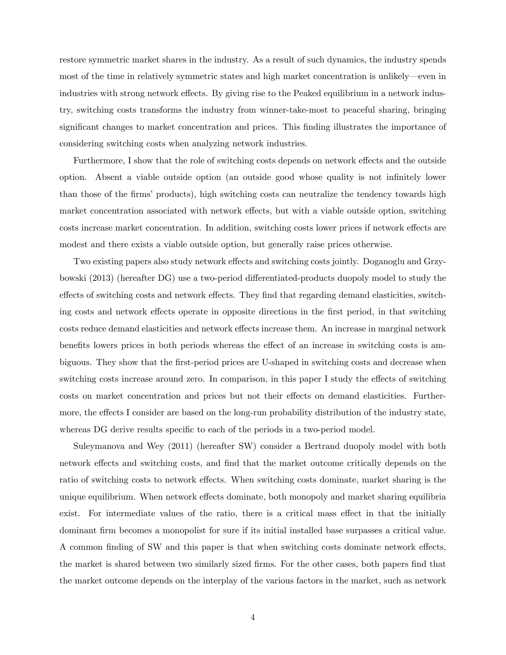restore symmetric market shares in the industry. As a result of such dynamics, the industry spends most of the time in relatively symmetric states and high market concentration is unlikely—even in industries with strong network effects. By giving rise to the Peaked equilibrium in a network industry, switching costs transforms the industry from winner-take-most to peaceful sharing, bringing significant changes to market concentration and prices. This finding illustrates the importance of considering switching costs when analyzing network industries.

Furthermore, I show that the role of switching costs depends on network effects and the outside option. Absent a viable outside option (an outside good whose quality is not infinitely lower than those of the firms' products), high switching costs can neutralize the tendency towards high market concentration associated with network effects, but with a viable outside option, switching costs increase market concentration. In addition, switching costs lower prices if network effects are modest and there exists a viable outside option, but generally raise prices otherwise.

Two existing papers also study network effects and switching costs jointly. Doganoglu and Grzybowski (2013) (hereafter DG) use a two-period differentiated-products duopoly model to study the effects of switching costs and network effects. They find that regarding demand elasticities, switching costs and network effects operate in opposite directions in the first period, in that switching costs reduce demand elasticities and network effects increase them. An increase in marginal network benefits lowers prices in both periods whereas the effect of an increase in switching costs is ambiguous. They show that the first-period prices are U-shaped in switching costs and decrease when switching costs increase around zero. In comparison, in this paper I study the effects of switching costs on market concentration and prices but not their effects on demand elasticities. Furthermore, the effects I consider are based on the long-run probability distribution of the industry state, whereas DG derive results specific to each of the periods in a two-period model.

Suleymanova and Wey (2011) (hereafter SW) consider a Bertrand duopoly model with both network effects and switching costs, and find that the market outcome critically depends on the ratio of switching costs to network effects. When switching costs dominate, market sharing is the unique equilibrium. When network effects dominate, both monopoly and market sharing equilibria exist. For intermediate values of the ratio, there is a critical mass effect in that the initially dominant firm becomes a monopolist for sure if its initial installed base surpasses a critical value. A common finding of SW and this paper is that when switching costs dominate network effects, the market is shared between two similarly sized firms. For the other cases, both papers find that the market outcome depends on the interplay of the various factors in the market, such as network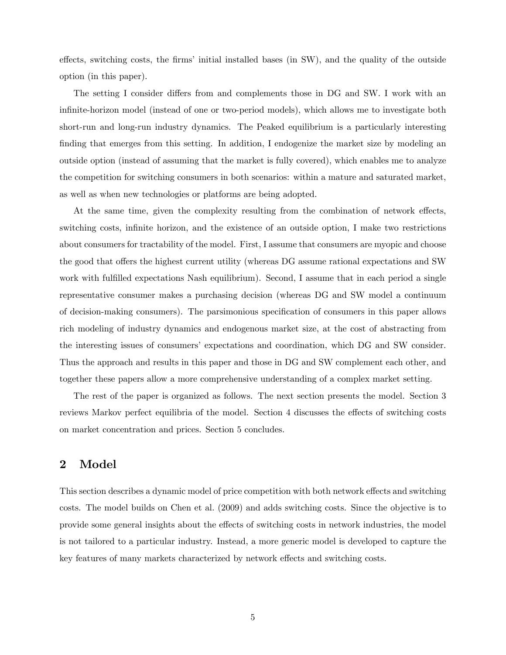effects, switching costs, the firms' initial installed bases (in SW), and the quality of the outside option (in this paper).

The setting I consider differs from and complements those in DG and SW. I work with an infinite-horizon model (instead of one or two-period models), which allows me to investigate both short-run and long-run industry dynamics. The Peaked equilibrium is a particularly interesting finding that emerges from this setting. In addition, I endogenize the market size by modeling an outside option (instead of assuming that the market is fully covered), which enables me to analyze the competition for switching consumers in both scenarios: within a mature and saturated market, as well as when new technologies or platforms are being adopted.

At the same time, given the complexity resulting from the combination of network effects, switching costs, infinite horizon, and the existence of an outside option, I make two restrictions about consumers for tractability of the model. First, I assume that consumers are myopic and choose the good that offers the highest current utility (whereas DG assume rational expectations and SW work with fulfilled expectations Nash equilibrium). Second, I assume that in each period a single representative consumer makes a purchasing decision (whereas DG and SW model a continuum of decision-making consumers). The parsimonious speciÖcation of consumers in this paper allows rich modeling of industry dynamics and endogenous market size, at the cost of abstracting from the interesting issues of consumersí expectations and coordination, which DG and SW consider. Thus the approach and results in this paper and those in DG and SW complement each other, and together these papers allow a more comprehensive understanding of a complex market setting.

The rest of the paper is organized as follows. The next section presents the model. Section 3 reviews Markov perfect equilibria of the model. Section 4 discusses the effects of switching costs on market concentration and prices. Section 5 concludes.

# 2 Model

This section describes a dynamic model of price competition with both network effects and switching costs. The model builds on Chen et al. (2009) and adds switching costs. Since the objective is to provide some general insights about the effects of switching costs in network industries, the model is not tailored to a particular industry. Instead, a more generic model is developed to capture the key features of many markets characterized by network effects and switching costs.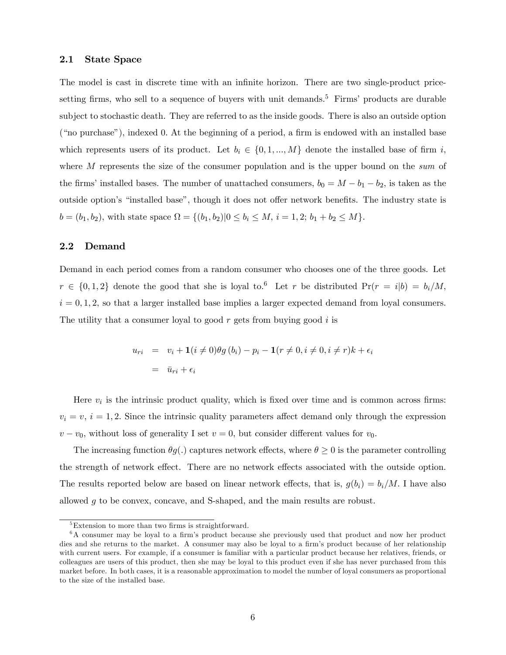#### 2.1 State Space

The model is cast in discrete time with an infinite horizon. There are two single-product pricesetting firms, who sell to a sequence of buyers with unit demands.<sup>5</sup> Firms' products are durable subject to stochastic death. They are referred to as the inside goods. There is also an outside option  $($ "no purchase"), indexed 0. At the beginning of a period, a firm is endowed with an installed base which represents users of its product. Let  $b_i \in \{0, 1, ..., M\}$  denote the installed base of firm i, where M represents the size of the consumer population and is the upper bound on the sum of the firms' installed bases. The number of unattached consumers,  $b_0 = M - b_1 - b_2$ , is taken as the outside option's "installed base", though it does not offer network benefits. The industry state is  $b = (b_1, b_2)$ , with state space  $\Omega = \{(b_1, b_2) | 0 \le b_i \le M, i = 1, 2; b_1 + b_2 \le M\}.$ 

#### 2.2 Demand

Demand in each period comes from a random consumer who chooses one of the three goods. Let  $r \in \{0, 1, 2\}$  denote the good that she is loyal to.<sup>6</sup> Let r be distributed  $Pr(r = i | b) = b_i/M$ ;  $i = 0, 1, 2$ , so that a larger installed base implies a larger expected demand from loyal consumers. The utility that a consumer loyal to good  $r$  gets from buying good  $i$  is

$$
u_{ri} = v_i + \mathbf{1}(i \neq 0)\theta g(b_i) - p_i - \mathbf{1}(r \neq 0, i \neq 0, i \neq r)k + \epsilon_i
$$

$$
= \bar{u}_{ri} + \epsilon_i
$$

Here  $v_i$  is the intrinsic product quality, which is fixed over time and is common across firms:  $v_i = v, i = 1, 2$ . Since the intrinsic quality parameters affect demand only through the expression  $v - v_0$ , without loss of generality I set  $v = 0$ , but consider different values for  $v_0$ .

The increasing function  $\theta g(.)$  captures network effects, where  $\theta \geq 0$  is the parameter controlling the strength of network effect. There are no network effects associated with the outside option. The results reported below are based on linear network effects, that is,  $g(b_i) = b_i/M$ . I have also allowed  $g$  to be convex, concave, and S-shaped, and the main results are robust.

 ${}^{5}$ Extension to more than two firms is straightforward.

 ${}^{6}$ A consumer may be loyal to a firm's product because she previously used that product and now her product dies and she returns to the market. A consumer may also be loyal to a firm's product because of her relationship with current users. For example, if a consumer is familiar with a particular product because her relatives, friends, or colleagues are users of this product, then she may be loyal to this product even if she has never purchased from this market before. In both cases, it is a reasonable approximation to model the number of loyal consumers as proportional to the size of the installed base.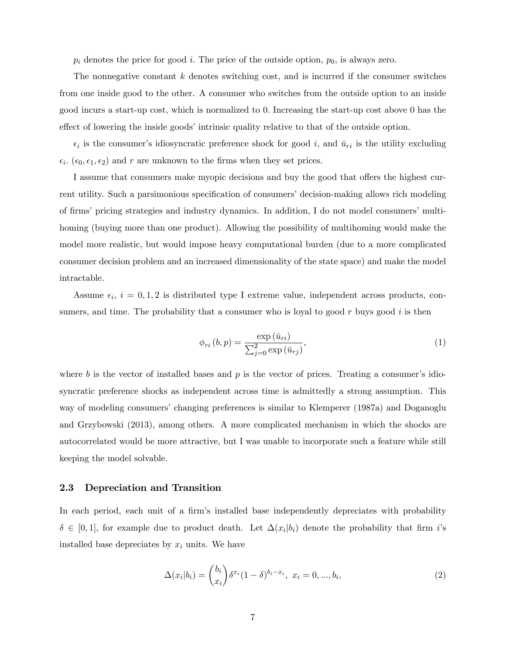$p_i$  denotes the price for good i. The price of the outside option,  $p_0$ , is always zero.

The nonnegative constant  $k$  denotes switching cost, and is incurred if the consumer switches from one inside good to the other. A consumer who switches from the outside option to an inside good incurs a start-up cost, which is normalized to 0: Increasing the start-up cost above 0 has the effect of lowering the inside goods' intrinsic quality relative to that of the outside option.

 $\epsilon_i$  is the consumer's idiosyncratic preference shock for good i, and  $\bar{u}_{ri}$  is the utility excluding  $\epsilon_i$ . ( $\epsilon_0$ ,  $\epsilon_1$ ,  $\epsilon_2$ ) and r are unknown to the firms when they set prices.

I assume that consumers make myopic decisions and buy the good that offers the highest current utility. Such a parsimonious specification of consumers' decision-making allows rich modeling of firms' pricing strategies and industry dynamics. In addition, I do not model consumers' multihoming (buying more than one product). Allowing the possibility of multihoming would make the model more realistic, but would impose heavy computational burden (due to a more complicated consumer decision problem and an increased dimensionality of the state space) and make the model intractable.

Assume  $\epsilon_i$ ,  $i = 0, 1, 2$  is distributed type I extreme value, independent across products, consumers, and time. The probability that a consumer who is loyed to good r buys good i is then

$$
\phi_{ri}\left(b,p\right) = \frac{\exp\left(\bar{u}_{ri}\right)}{\sum_{j=0}^{2} \exp\left(\bar{u}_{rj}\right)},\tag{1}
$$

where b is the vector of installed bases and  $p$  is the vector of prices. Treating a consumer's idiosyncratic preference shocks as independent across time is admittedly a strong assumption. This way of modeling consumers' changing preferences is similar to Klemperer (1987a) and Doganoglu and Grzybowski (2013), among others. A more complicated mechanism in which the shocks are autocorrelated would be more attractive, but I was unable to incorporate such a feature while still keeping the model solvable.

#### 2.3 Depreciation and Transition

In each period, each unit of a firm's installed base independently depreciates with probability  $\delta \in [0,1]$ , for example due to product death. Let  $\Delta(x_i|b_i)$  denote the probability that firm is installed base depreciates by  $x_i$  units. We have

$$
\Delta(x_i|b_i) = {b_i \choose x_i} \delta^{x_i} (1-\delta)^{b_i-x_i}, \ x_i = 0, ..., b_i,
$$
\n(2)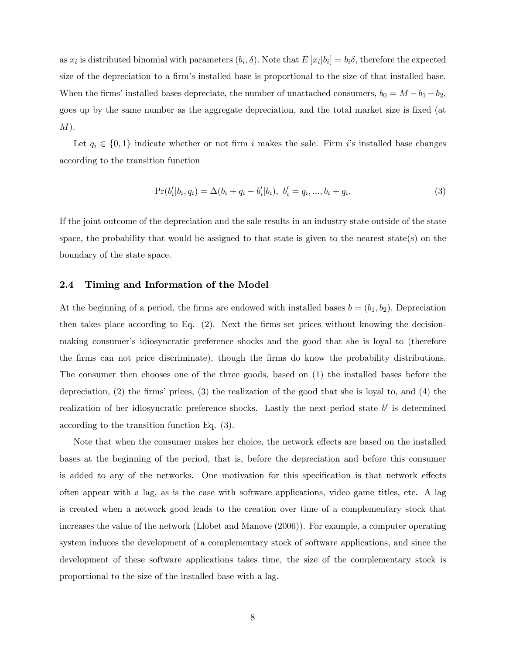as  $x_i$  is distributed binomial with parameters  $(b_i, \delta)$ . Note that  $E[x_i|b_i] = b_i \delta$ , therefore the expected size of the depreciation to a firm's installed base is proportional to the size of that installed base. When the firms' installed bases depreciate, the number of unattached consumers,  $b_0 = M - b_1 - b_2$ , goes up by the same number as the aggregate depreciation, and the total market size is fixed (at  $M$ ).

Let  $q_i \in \{0,1\}$  indicate whether or not firm i makes the sale. Firm i's installed base changes according to the transition function

$$
Pr(b'_{i}|b_{i}, q_{i}) = \Delta(b_{i} + q_{i} - b'_{i}|b_{i}), b'_{i} = q_{i}, ..., b_{i} + q_{i}.
$$
\n(3)

If the joint outcome of the depreciation and the sale results in an industry state outside of the state space, the probability that would be assigned to that state is given to the nearest state(s) on the boundary of the state space.

#### 2.4 Timing and Information of the Model

At the beginning of a period, the firms are endowed with installed bases  $b = (b_1, b_2)$ . Depreciation then takes place according to Eq.  $(2)$ . Next the firms set prices without knowing the decisionmaking consumer's idiosyncratic preference shocks and the good that she is loyal to (therefore the firms can not price discriminate), though the firms do know the probability distributions. The consumer then chooses one of the three goods, based on (1) the installed bases before the depreciation,  $(2)$  the firms' prices,  $(3)$  the realization of the good that she is loyal to, and  $(4)$  the realization of her idiosyncratic preference shocks. Lastly the next-period state  $b'$  is determined according to the transition function Eq. (3).

Note that when the consumer makes her choice, the network effects are based on the installed bases at the beginning of the period, that is, before the depreciation and before this consumer is added to any of the networks. One motivation for this specification is that network effects often appear with a lag, as is the case with software applications, video game titles, etc. A lag is created when a network good leads to the creation over time of a complementary stock that increases the value of the network (Llobet and Manove (2006)). For example, a computer operating system induces the development of a complementary stock of software applications, and since the development of these software applications takes time, the size of the complementary stock is proportional to the size of the installed base with a lag.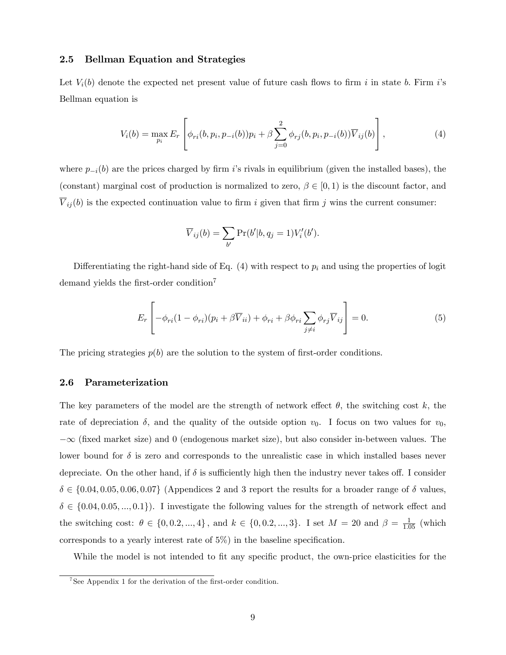#### 2.5 Bellman Equation and Strategies

Let  $V_i(b)$  denote the expected net present value of future cash flows to firm i in state b. Firm is Bellman equation is

$$
V_i(b) = \max_{p_i} E_r \left[ \phi_{ri}(b, p_i, p_{-i}(b)) p_i + \beta \sum_{j=0}^2 \phi_{rj}(b, p_i, p_{-i}(b)) \overline{V}_{ij}(b) \right],
$$
 (4)

where  $p_{-i}(b)$  are the prices charged by firm is rivals in equilibrium (given the installed bases), the (constant) marginal cost of production is normalized to zero,  $\beta \in [0,1)$  is the discount factor, and  $\overline{V}_{ij}(b)$  is the expected continuation value to firm i given that firm j wins the current consumer:

$$
\overline{V}_{ij}(b) = \sum_{b'} \Pr(b'|b, q_j = 1) V'_i(b').
$$

Differentiating the right-hand side of Eq.  $(4)$  with respect to  $p_i$  and using the properties of logit demand yields the first-order condition<sup>7</sup>

$$
E_r\left[-\phi_{ri}(1-\phi_{ri})(p_i+\beta\overline{V}_{ii})+\phi_{ri}+\beta\phi_{ri}\sum_{j\neq i}\phi_{rj}\overline{V}_{ij}\right]=0.
$$
 (5)

The pricing strategies  $p(b)$  are the solution to the system of first-order conditions.

#### 2.6 Parameterization

The key parameters of the model are the strength of network effect  $\theta$ , the switching cost k, the rate of depreciation  $\delta$ , and the quality of the outside option  $v_0$ . I focus on two values for  $v_0$ ,  $-\infty$  (fixed market size) and 0 (endogenous market size), but also consider in-between values. The lower bound for  $\delta$  is zero and corresponds to the unrealistic case in which installed bases never depreciate. On the other hand, if  $\delta$  is sufficiently high then the industry never takes off. I consider  $\delta \in \{0.04, 0.05, 0.06, 0.07\}$  (Appendices 2 and 3 report the results for a broader range of  $\delta$  values,  $\delta \in \{0.04, 0.05, ..., 0.1\}$ . I investigate the following values for the strength of network effect and the switching cost:  $\theta \in \{0, 0.2, ..., 4\}$ , and  $k \in \{0, 0.2, ..., 3\}$ . I set  $M = 20$  and  $\beta = \frac{1}{1.05}$  (which corresponds to a yearly interest rate of  $5\%$ ) in the baseline specification.

While the model is not intended to fit any specific product, the own-price elasticities for the

<sup>&</sup>lt;sup>7</sup>See Appendix 1 for the derivation of the first-order condition.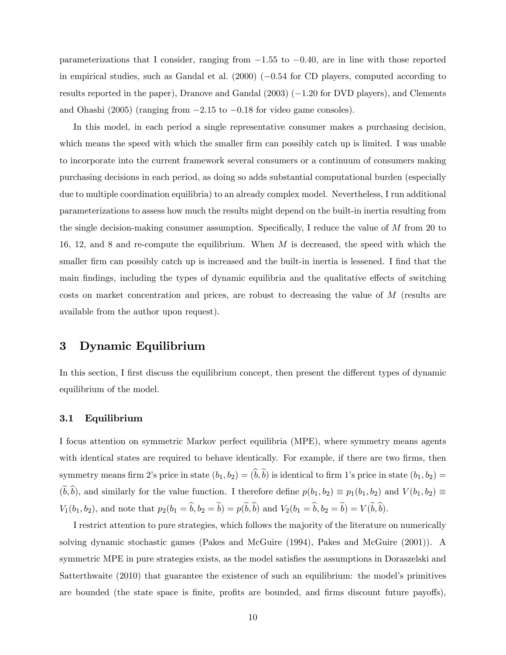parameterizations that I consider, ranging from  $-1.55$  to  $-0.40$ , are in line with those reported in empirical studies, such as Gandal et al.  $(2000)$   $(-0.54$  for CD players, computed according to results reported in the paper), Dranove and Gandal  $(2003)$  ( $-1.20$  for DVD players), and Clements and Ohashi (2005) (ranging from  $-2.15$  to  $-0.18$  for video game consoles).

In this model, in each period a single representative consumer makes a purchasing decision, which means the speed with which the smaller firm can possibly catch up is limited. I was unable to incorporate into the current framework several consumers or a continuum of consumers making purchasing decisions in each period, as doing so adds substantial computational burden (especially due to multiple coordination equilibria) to an already complex model. Nevertheless, I run additional parameterizations to assess how much the results might depend on the built-in inertia resulting from the single decision-making consumer assumption. Specifically, I reduce the value of  $M$  from 20 to 16, 12, and 8 and re-compute the equilibrium. When M is decreased, the speed with which the smaller firm can possibly catch up is increased and the built-in inertia is lessened. I find that the main findings, including the types of dynamic equilibria and the qualitative effects of switching costs on market concentration and prices, are robust to decreasing the value of M (results are available from the author upon request).

# 3 Dynamic Equilibrium

In this section, I first discuss the equilibrium concept, then present the different types of dynamic equilibrium of the model.

#### 3.1 Equilibrium

I focus attention on symmetric Markov perfect equilibria (MPE), where symmetry means agents with identical states are required to behave identically. For example, if there are two firms, then symmetry means firm 2's price in state  $(b_1, b_2) = (\hat{b}, \tilde{b})$  is identical to firm 1's price in state  $(b_1, b_2) =$  $(\tilde{b},\tilde{b})$ , and similarly for the value function. I therefore define  $p(b_1, b_2) \equiv p_1(b_1, b_2)$  and  $V(b_1, b_2) \equiv$  $V_1(b_1, b_2)$ , and note that  $p_2(b_1 = \hat{b}, b_2 = \tilde{b}) = p(\tilde{b}, \hat{b})$  and  $V_2(b_1 = \hat{b}, b_2 = \tilde{b}) = V(\tilde{b}, \hat{b}).$ 

I restrict attention to pure strategies, which follows the majority of the literature on numerically solving dynamic stochastic games (Pakes and McGuire (1994), Pakes and McGuire (2001)). A symmetric MPE in pure strategies exists, as the model satisfies the assumptions in Doraszelski and Satterthwaite (2010) that guarantee the existence of such an equilibrium: the model's primitives are bounded (the state space is finite, profits are bounded, and firms discount future payoffs),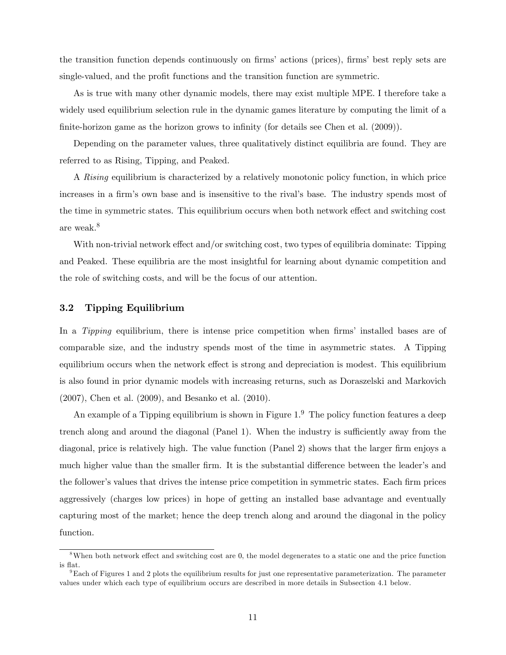the transition function depends continuously on firms' actions (prices), firms' best reply sets are single-valued, and the profit functions and the transition function are symmetric.

As is true with many other dynamic models, there may exist multiple MPE. I therefore take a widely used equilibrium selection rule in the dynamic games literature by computing the limit of a finite-horizon game as the horizon grows to infinity (for details see Chen et al.  $(2009)$ ).

Depending on the parameter values, three qualitatively distinct equilibria are found. They are referred to as Rising, Tipping, and Peaked.

A Rising equilibrium is characterized by a relatively monotonic policy function, in which price increases in a firm's own base and is insensitive to the rival's base. The industry spends most of the time in symmetric states. This equilibrium occurs when both network effect and switching cost are weak.<sup>8</sup>

With non-trivial network effect and/or switching cost, two types of equilibria dominate: Tipping and Peaked. These equilibria are the most insightful for learning about dynamic competition and the role of switching costs, and will be the focus of our attention.

#### 3.2 Tipping Equilibrium

In a *Tipping* equilibrium, there is intense price competition when firms' installed bases are of comparable size, and the industry spends most of the time in asymmetric states. A Tipping equilibrium occurs when the network effect is strong and depreciation is modest. This equilibrium is also found in prior dynamic models with increasing returns, such as Doraszelski and Markovich (2007), Chen et al. (2009), and Besanko et al. (2010).

An example of a Tipping equilibrium is shown in Figure  $1<sup>9</sup>$  The policy function features a deep trench along and around the diagonal (Panel 1). When the industry is sufficiently away from the diagonal, price is relatively high. The value function (Panel 2) shows that the larger firm enjoys a much higher value than the smaller firm. It is the substantial difference between the leader's and the follower's values that drives the intense price competition in symmetric states. Each firm prices aggressively (charges low prices) in hope of getting an installed base advantage and eventually capturing most of the market; hence the deep trench along and around the diagonal in the policy function.

 $8$ When both network effect and switching cost are 0, the model degenerates to a static one and the price function is flat.

 $9E$ ach of Figures 1 and 2 plots the equilibrium results for just one representative parameterization. The parameter values under which each type of equilibrium occurs are described in more details in Subsection 4.1 below.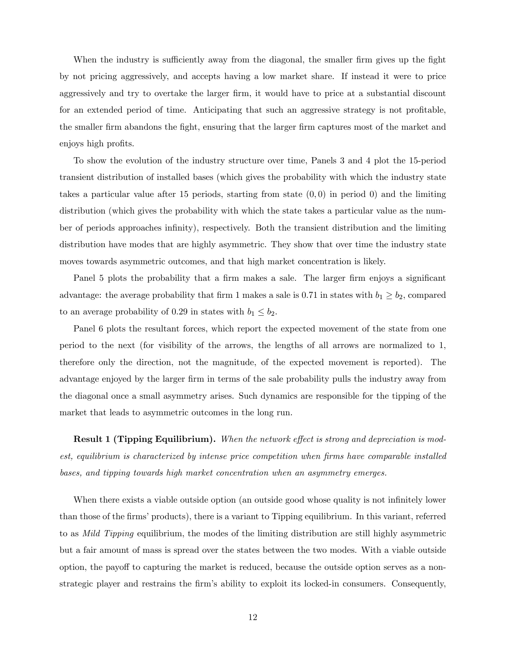When the industry is sufficiently away from the diagonal, the smaller firm gives up the fight by not pricing aggressively, and accepts having a low market share. If instead it were to price aggressively and try to overtake the larger firm, it would have to price at a substantial discount for an extended period of time. Anticipating that such an aggressive strategy is not profitable, the smaller Örm abandons the Öght, ensuring that the larger Örm captures most of the market and enjoys high profits.

To show the evolution of the industry structure over time, Panels 3 and 4 plot the 15-period transient distribution of installed bases (which gives the probability with which the industry state takes a particular value after 15 periods, starting from state  $(0,0)$  in period 0) and the limiting distribution (which gives the probability with which the state takes a particular value as the number of periods approaches infinity), respectively. Both the transient distribution and the limiting distribution have modes that are highly asymmetric. They show that over time the industry state moves towards asymmetric outcomes, and that high market concentration is likely.

Panel 5 plots the probability that a firm makes a sale. The larger firm enjoys a significant advantage: the average probability that firm 1 makes a sale is 0.71 in states with  $b_1 \geq b_2$ , compared to an average probability of 0.29 in states with  $b_1 \leq b_2$ .

Panel 6 plots the resultant forces, which report the expected movement of the state from one period to the next (for visibility of the arrows, the lengths of all arrows are normalized to 1, therefore only the direction, not the magnitude, of the expected movement is reported). The advantage enjoyed by the larger firm in terms of the sale probability pulls the industry away from the diagonal once a small asymmetry arises. Such dynamics are responsible for the tipping of the market that leads to asymmetric outcomes in the long run.

**Result 1 (Tipping Equilibrium).** When the network effect is strong and depreciation is modest, equilibrium is characterized by intense price competition when Örms have comparable installed bases, and tipping towards high market concentration when an asymmetry emerges.

When there exists a viable outside option (an outside good whose quality is not infinitely lower than those of the firms' products), there is a variant to Tipping equilibrium. In this variant, referred to as Mild Tipping equilibrium, the modes of the limiting distribution are still highly asymmetric but a fair amount of mass is spread over the states between the two modes. With a viable outside option, the payoff to capturing the market is reduced, because the outside option serves as a nonstrategic player and restrains the firm's ability to exploit its locked-in consumers. Consequently,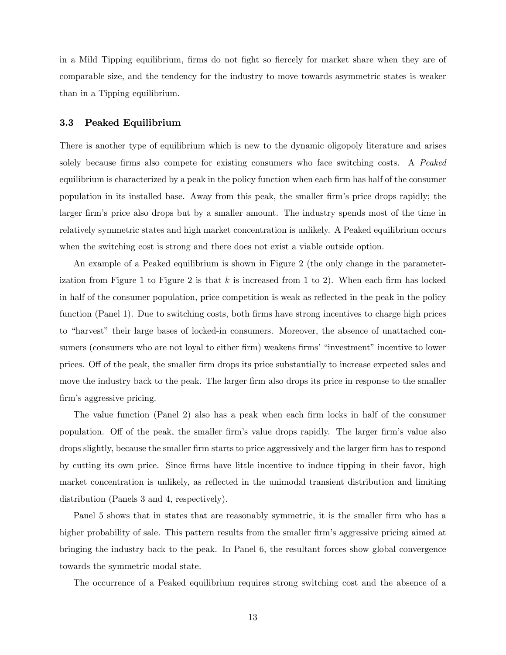in a Mild Tipping equilibrium, firms do not fight so fiercely for market share when they are of comparable size, and the tendency for the industry to move towards asymmetric states is weaker than in a Tipping equilibrium.

#### 3.3 Peaked Equilibrium

There is another type of equilibrium which is new to the dynamic oligopoly literature and arises solely because firms also compete for existing consumers who face switching costs. A Peaked equilibrium is characterized by a peak in the policy function when each firm has half of the consumer population in its installed base. Away from this peak, the smaller Örmís price drops rapidly; the larger firm's price also drops but by a smaller amount. The industry spends most of the time in relatively symmetric states and high market concentration is unlikely. A Peaked equilibrium occurs when the switching cost is strong and there does not exist a viable outside option.

An example of a Peaked equilibrium is shown in Figure 2 (the only change in the parameterization from Figure 1 to Figure 2 is that k is increased from 1 to 2). When each firm has locked in half of the consumer population, price competition is weak as reflected in the peak in the policy function (Panel 1). Due to switching costs, both firms have strong incentives to charge high prices to "harvest" their large bases of locked-in consumers. Moreover, the absence of unattached consumers (consumers who are not loyal to either firm) weakens firms' "investment" incentive to lower prices. Off of the peak, the smaller firm drops its price substantially to increase expected sales and move the industry back to the peak. The larger firm also drops its price in response to the smaller firm's aggressive pricing.

The value function (Panel 2) also has a peak when each firm locks in half of the consumer population. Off of the peak, the smaller firm's value drops rapidly. The larger firm's value also drops slightly, because the smaller firm starts to price aggressively and the larger firm has to respond by cutting its own price. Since firms have little incentive to induce tipping in their favor, high market concentration is unlikely, as reflected in the unimodal transient distribution and limiting distribution (Panels 3 and 4, respectively).

Panel 5 shows that in states that are reasonably symmetric, it is the smaller firm who has a higher probability of sale. This pattern results from the smaller firm's aggressive pricing aimed at bringing the industry back to the peak. In Panel 6, the resultant forces show global convergence towards the symmetric modal state.

The occurrence of a Peaked equilibrium requires strong switching cost and the absence of a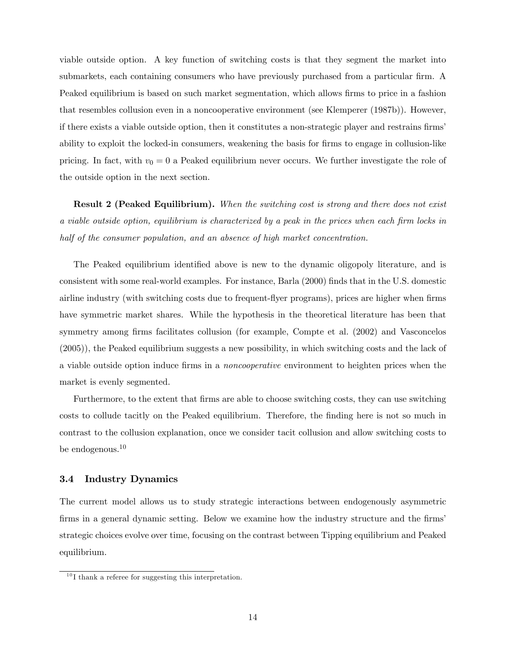viable outside option. A key function of switching costs is that they segment the market into submarkets, each containing consumers who have previously purchased from a particular firm. A Peaked equilibrium is based on such market segmentation, which allows firms to price in a fashion that resembles collusion even in a noncooperative environment (see Klemperer (1987b)). However, if there exists a viable outside option, then it constitutes a non-strategic player and restrains firms' ability to exploit the locked-in consumers, weakening the basis for firms to engage in collusion-like pricing. In fact, with  $v_0 = 0$  a Peaked equilibrium never occurs. We further investigate the role of the outside option in the next section.

Result 2 (Peaked Equilibrium). When the switching cost is strong and there does not exist a viable outside option, equilibrium is characterized by a peak in the prices when each firm locks in half of the consumer population, and an absence of high market concentration.

The Peaked equilibrium identified above is new to the dynamic oligopoly literature, and is consistent with some real-world examples. For instance, Barla (2000) Önds that in the U.S. domestic airline industry (with switching costs due to frequent-flyer programs), prices are higher when firms have symmetric market shares. While the hypothesis in the theoretical literature has been that symmetry among firms facilitates collusion (for example, Compte et al. (2002) and Vasconcelos (2005)), the Peaked equilibrium suggests a new possibility, in which switching costs and the lack of a viable outside option induce firms in a *noncooperative* environment to heighten prices when the market is evenly segmented.

Furthermore, to the extent that firms are able to choose switching costs, they can use switching costs to collude tacitly on the Peaked equilibrium. Therefore, the finding here is not so much in contrast to the collusion explanation, once we consider tacit collusion and allow switching costs to be endogenous.<sup>10</sup>

#### 3.4 Industry Dynamics

The current model allows us to study strategic interactions between endogenously asymmetric firms in a general dynamic setting. Below we examine how the industry structure and the firms' strategic choices evolve over time, focusing on the contrast between Tipping equilibrium and Peaked equilibrium.

 $10$ I thank a referee for suggesting this interpretation.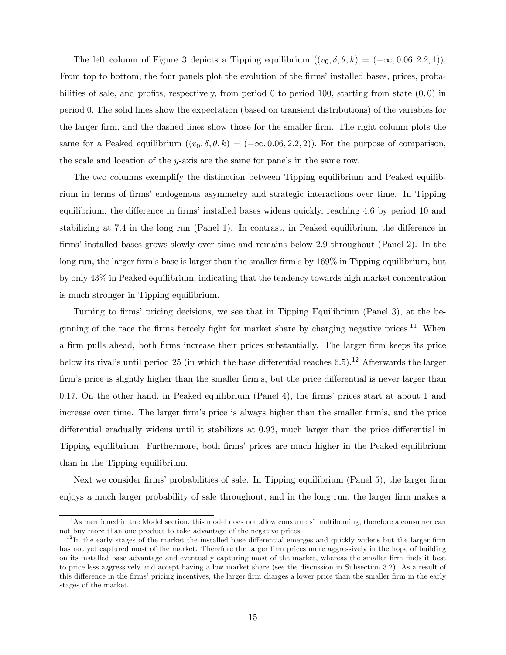The left column of Figure 3 depicts a Tipping equilibrium  $((v_0, \delta, \theta, k) = (-\infty, 0.06, 2.2, 1)).$ From top to bottom, the four panels plot the evolution of the firms' installed bases, prices, probabilities of sale, and profits, respectively, from period 0 to period 100, starting from state  $(0,0)$  in period 0: The solid lines show the expectation (based on transient distributions) of the variables for the larger firm, and the dashed lines show those for the smaller firm. The right column plots the same for a Peaked equilibrium  $((v_0, \delta, \theta, k) = (-\infty, 0.06, 2.2, 2))$ . For the purpose of comparison, the scale and location of the y-axis are the same for panels in the same row.

The two columns exemplify the distinction between Tipping equilibrium and Peaked equilibrium in terms of firms' endogenous asymmetry and strategic interactions over time. In Tipping equilibrium, the difference in firms' installed bases widens quickly, reaching 4.6 by period 10 and stabilizing at 7.4 in the long run (Panel 1). In contrast, in Peaked equilibrium, the difference in firms' installed bases grows slowly over time and remains below 2.9 throughout (Panel 2). In the long run, the larger firm's base is larger than the smaller firm's by  $169\%$  in Tipping equilibrium, but by only 43% in Peaked equilibrium, indicating that the tendency towards high market concentration is much stronger in Tipping equilibrium.

Turning to firms' pricing decisions, we see that in Tipping Equilibrium (Panel 3), at the beginning of the race the firms fiercely fight for market share by charging negative prices.<sup>11</sup> When a firm pulls ahead, both firms increase their prices substantially. The larger firm keeps its price below its rival's until period 25 (in which the base differential reaches 6.5).<sup>12</sup> Afterwards the larger firm's price is slightly higher than the smaller firm's, but the price differential is never larger than  $0.17$ . On the other hand, in Peaked equilibrium (Panel 4), the firms' prices start at about 1 and increase over time. The larger firm's price is always higher than the smaller firm's, and the price differential gradually widens until it stabilizes at  $0.93$ , much larger than the price differential in Tipping equilibrium. Furthermore, both firms' prices are much higher in the Peaked equilibrium than in the Tipping equilibrium.

Next we consider firms' probabilities of sale. In Tipping equilibrium (Panel 5), the larger firm enjoys a much larger probability of sale throughout, and in the long run, the larger firm makes a

 $11$ As mentioned in the Model section, this model does not allow consumers' multihoming, therefore a consumer can not buy more than one product to take advantage of the negative prices.

 $12$ In the early stages of the market the installed base differential emerges and quickly widens but the larger firm has not yet captured most of the market. Therefore the larger firm prices more aggressively in the hope of building on its installed base advantage and eventually capturing most of the market, whereas the smaller firm finds it best to price less aggressively and accept having a low market share (see the discussion in Subsection 3.2). As a result of this difference in the firms' pricing incentives, the larger firm charges a lower price than the smaller firm in the early stages of the market.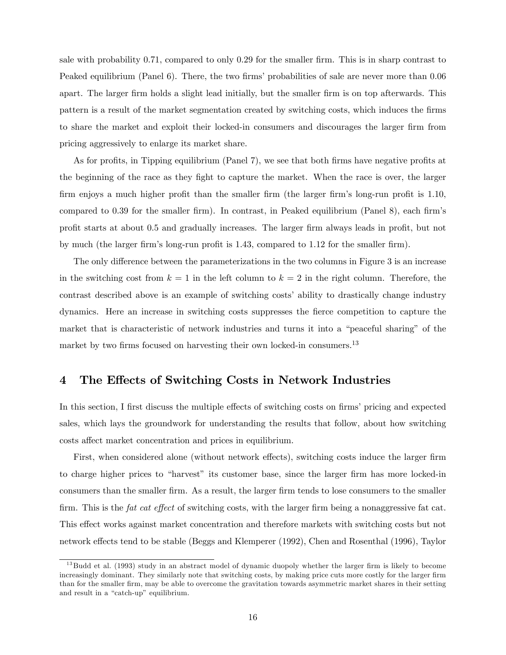sale with probability  $0.71$ , compared to only  $0.29$  for the smaller firm. This is in sharp contrast to Peaked equilibrium (Panel 6). There, the two firms' probabilities of sale are never more than 0.06 apart. The larger firm holds a slight lead initially, but the smaller firm is on top afterwards. This pattern is a result of the market segmentation created by switching costs, which induces the Örms to share the market and exploit their locked-in consumers and discourages the larger Örm from pricing aggressively to enlarge its market share.

As for profits, in Tipping equilibrium (Panel 7), we see that both firms have negative profits at the beginning of the race as they fight to capture the market. When the race is over, the larger firm enjoys a much higher profit than the smaller firm (the larger firm's long-run profit is  $1.10$ ; compared to  $0.39$  for the smaller firm). In contrast, in Peaked equilibrium (Panel 8), each firm's profit starts at about 0.5 and gradually increases. The larger firm always leads in profit, but not by much (the larger firm's long-run profit is  $1.43$ , compared to  $1.12$  for the smaller firm).

The only difference between the parameterizations in the two columns in Figure 3 is an increase in the switching cost from  $k = 1$  in the left column to  $k = 2$  in the right column. Therefore, the contrast described above is an example of switching costs' ability to drastically change industry dynamics. Here an increase in switching costs suppresses the Öerce competition to capture the market that is characteristic of network industries and turns it into a "peaceful sharing" of the market by two firms focused on harvesting their own locked-in consumers.<sup>13</sup>

## 4 The Effects of Switching Costs in Network Industries

In this section, I first discuss the multiple effects of switching costs on firms' pricing and expected sales, which lays the groundwork for understanding the results that follow, about how switching costs affect market concentration and prices in equilibrium.

First, when considered alone (without network effects), switching costs induce the larger firm to charge higher prices to "harvest" its customer base, since the larger firm has more locked-in consumers than the smaller firm. As a result, the larger firm tends to lose consumers to the smaller firm. This is the *fat cat effect* of switching costs, with the larger firm being a nonaggressive fat cat. This effect works against market concentration and therefore markets with switching costs but not network effects tend to be stable (Beggs and Klemperer (1992), Chen and Rosenthal (1996), Taylor

 $13$ Budd et al. (1993) study in an abstract model of dynamic duopoly whether the larger firm is likely to become increasingly dominant. They similarly note that switching costs, by making price cuts more costly for the larger firm than for the smaller Örm, may be able to overcome the gravitation towards asymmetric market shares in their setting and result in a "catch-up" equilibrium.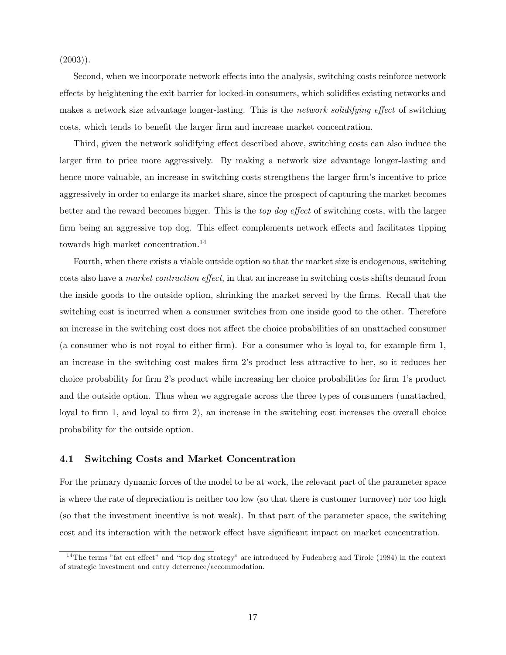$(2003)$ ).

Second, when we incorporate network effects into the analysis, switching costs reinforce network effects by heightening the exit barrier for locked-in consumers, which solidifies existing networks and makes a network size advantage longer-lasting. This is the *network solidifying effect* of switching costs, which tends to benefit the larger firm and increase market concentration.

Third, given the network solidifying effect described above, switching costs can also induce the larger firm to price more aggressively. By making a network size advantage longer-lasting and hence more valuable, an increase in switching costs strengthens the larger firm's incentive to price aggressively in order to enlarge its market share, since the prospect of capturing the market becomes better and the reward becomes bigger. This is the *top dog effect* of switching costs, with the larger firm being an aggressive top dog. This effect complements network effects and facilitates tipping towards high market concentration.<sup>14</sup>

Fourth, when there exists a viable outside option so that the market size is endogenous, switching costs also have a *market contraction effect*, in that an increase in switching costs shifts demand from the inside goods to the outside option, shrinking the market served by the firms. Recall that the switching cost is incurred when a consumer switches from one inside good to the other. Therefore an increase in the switching cost does not affect the choice probabilities of an unattached consumer (a consumer who is not royal to either firm). For a consumer who is loyal to, for example firm 1, an increase in the switching cost makes firm 2's product less attractive to her, so it reduces her choice probability for firm 2's product while increasing her choice probabilities for firm 1's product and the outside option. Thus when we aggregate across the three types of consumers (unattached, loyal to firm 1, and loyal to firm 2), an increase in the switching cost increases the overall choice probability for the outside option.

#### 4.1 Switching Costs and Market Concentration

For the primary dynamic forces of the model to be at work, the relevant part of the parameter space is where the rate of depreciation is neither too low (so that there is customer turnover) nor too high (so that the investment incentive is not weak). In that part of the parameter space, the switching cost and its interaction with the network effect have significant impact on market concentration.

<sup>&</sup>lt;sup>14</sup>The terms "fat cat effect" and "top dog strategy" are introduced by Fudenberg and Tirole (1984) in the context of strategic investment and entry deterrence/accommodation.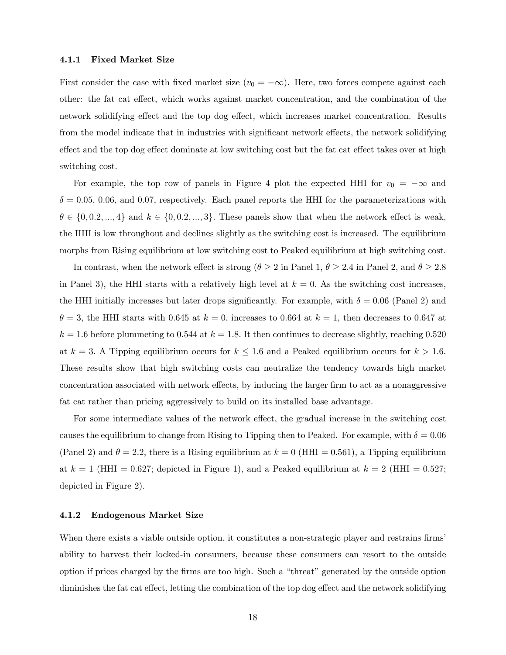#### 4.1.1 Fixed Market Size

First consider the case with fixed market size  $(v_0 = -\infty)$ . Here, two forces compete against each other: the fat cat effect, which works against market concentration, and the combination of the network solidifying effect and the top dog effect, which increases market concentration. Results from the model indicate that in industries with significant network effects, the network solidifying effect and the top dog effect dominate at low switching cost but the fat cat effect takes over at high switching cost.

For example, the top row of panels in Figure 4 plot the expected HHI for  $v_0 = -\infty$  and  $\delta = 0.05, 0.06,$  and 0.07, respectively. Each panel reports the HHI for the parameterizations with  $\theta \in \{0, 0.2, ..., 4\}$  and  $k \in \{0, 0.2, ..., 3\}$ . These panels show that when the network effect is weak, the HHI is low throughout and declines slightly as the switching cost is increased. The equilibrium morphs from Rising equilibrium at low switching cost to Peaked equilibrium at high switching cost.

In contrast, when the network effect is strong ( $\theta \geq 2$  in Panel 1,  $\theta \geq 2.4$  in Panel 2, and  $\theta \geq 2.8$ in Panel 3), the HHI starts with a relatively high level at  $k = 0$ . As the switching cost increases, the HHI initially increases but later drops significantly. For example, with  $\delta = 0.06$  (Panel 2) and  $\theta = 3$ , the HHI starts with 0.645 at  $k = 0$ , increases to 0.664 at  $k = 1$ , then decreases to 0.647 at  $k = 1.6$  before plummeting to 0.544 at  $k = 1.8$ . It then continues to decrease slightly, reaching 0.520 at  $k = 3$ . A Tipping equilibrium occurs for  $k \leq 1.6$  and a Peaked equilibrium occurs for  $k > 1.6$ . These results show that high switching costs can neutralize the tendency towards high market concentration associated with network effects, by inducing the larger firm to act as a nonaggressive fat cat rather than pricing aggressively to build on its installed base advantage.

For some intermediate values of the network effect, the gradual increase in the switching cost causes the equilibrium to change from Rising to Tipping then to Peaked. For example, with  $\delta = 0.06$ (Panel 2) and  $\theta = 2.2$ , there is a Rising equilibrium at  $k = 0$  (HHI = 0.561), a Tipping equilibrium at  $k = 1$  (HHI = 0.627; depicted in Figure 1), and a Peaked equilibrium at  $k = 2$  (HHI = 0.527; depicted in Figure 2).

#### 4.1.2 Endogenous Market Size

When there exists a viable outside option, it constitutes a non-strategic player and restrains firms ability to harvest their locked-in consumers, because these consumers can resort to the outside option if prices charged by the firms are too high. Such a "threat" generated by the outside option diminishes the fat cat effect, letting the combination of the top dog effect and the network solidifying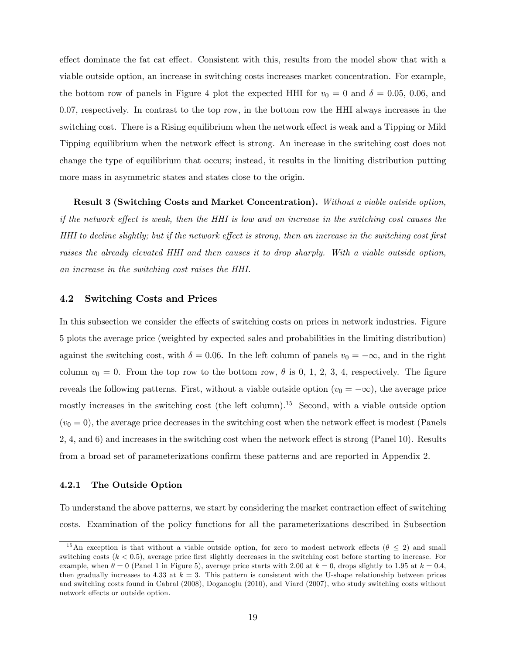effect dominate the fat cat effect. Consistent with this, results from the model show that with a viable outside option, an increase in switching costs increases market concentration. For example, the bottom row of panels in Figure 4 plot the expected HHI for  $v_0 = 0$  and  $\delta = 0.05, 0.06,$  and 0:07; respectively. In contrast to the top row, in the bottom row the HHI always increases in the switching cost. There is a Rising equilibrium when the network effect is weak and a Tipping or Mild Tipping equilibrium when the network effect is strong. An increase in the switching cost does not change the type of equilibrium that occurs; instead, it results in the limiting distribution putting more mass in asymmetric states and states close to the origin.

Result 3 (Switching Costs and Market Concentration). Without a viable outside option, if the network effect is weak, then the HHI is low and an increase in the switching cost causes the  $HHI$  to decline slightly; but if the network effect is strong, then an increase in the switching cost first raises the already elevated HHI and then causes it to drop sharply. With a viable outside option, an increase in the switching cost raises the HHI.

#### 4.2 Switching Costs and Prices

In this subsection we consider the effects of switching costs on prices in network industries. Figure 5 plots the average price (weighted by expected sales and probabilities in the limiting distribution) against the switching cost, with  $\delta = 0.06$ . In the left column of panels  $v_0 = -\infty$ , and in the right column  $v_0 = 0$ . From the top row to the bottom row,  $\theta$  is 0, 1, 2, 3, 4, respectively. The figure reveals the following patterns. First, without a viable outside option  $(v_0 = -\infty)$ , the average price mostly increases in the switching cost (the left column).<sup>15</sup> Second, with a viable outside option  $(v_0 = 0)$ , the average price decreases in the switching cost when the network effect is modest (Panels  $2, 4$ , and 6) and increases in the switching cost when the network effect is strong (Panel 10). Results from a broad set of parameterizations confirm these patterns and are reported in Appendix 2.

#### 4.2.1 The Outside Option

To understand the above patterns, we start by considering the market contraction effect of switching costs. Examination of the policy functions for all the parameterizations described in Subsection

<sup>&</sup>lt;sup>15</sup>An exception is that without a viable outside option, for zero to modest network effects ( $\theta \leq 2$ ) and small switching costs  $(k < 0.5)$ , average price first slightly decreases in the switching cost before starting to increase. For example, when  $\theta = 0$  (Panel 1 in Figure 5), average price starts with 2.00 at  $k = 0$ , drops slightly to 1.95 at  $k = 0.4$ , then gradually increases to 4.33 at  $k = 3$ . This pattern is consistent with the U-shape relationship between prices and switching costs found in Cabral (2008), Doganoglu (2010), and Viard (2007), who study switching costs without network effects or outside option.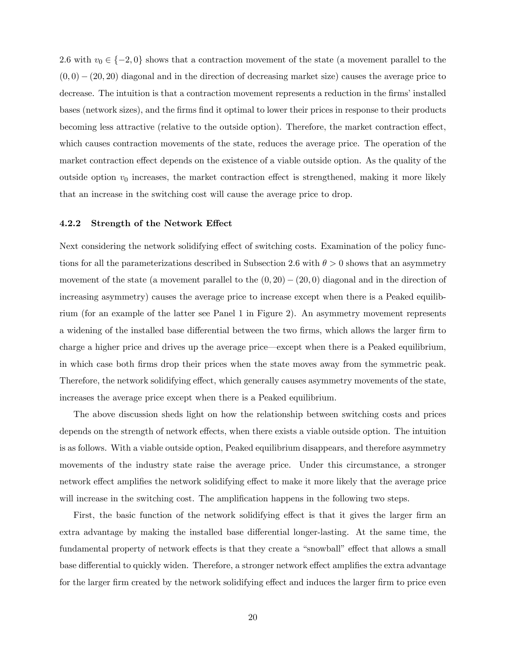2.6 with  $v_0 \in \{-2, 0\}$  shows that a contraction movement of the state (a movement parallel to the  $(0,0) - (20,20)$  diagonal and in the direction of decreasing market size) causes the average price to decrease. The intuition is that a contraction movement represents a reduction in the firms' installed bases (network sizes), and the firms find it optimal to lower their prices in response to their products becoming less attractive (relative to the outside option). Therefore, the market contraction effect, which causes contraction movements of the state, reduces the average price. The operation of the market contraction effect depends on the existence of a viable outside option. As the quality of the outside option  $v_0$  increases, the market contraction effect is strengthened, making it more likely that an increase in the switching cost will cause the average price to drop.

#### 4.2.2 Strength of the Network Effect

Next considering the network solidifying effect of switching costs. Examination of the policy functions for all the parameterizations described in Subsection 2.6 with  $\theta > 0$  shows that an asymmetry movement of the state (a movement parallel to the  $(0, 20) - (20, 0)$  diagonal and in the direction of increasing asymmetry) causes the average price to increase except when there is a Peaked equilibrium (for an example of the latter see Panel 1 in Figure 2). An asymmetry movement represents a widening of the installed base differential between the two firms, which allows the larger firm to charge a higher price and drives up the average price—except when there is a Peaked equilibrium, in which case both Örms drop their prices when the state moves away from the symmetric peak. Therefore, the network solidifying effect, which generally causes asymmetry movements of the state, increases the average price except when there is a Peaked equilibrium.

The above discussion sheds light on how the relationship between switching costs and prices depends on the strength of network effects, when there exists a viable outside option. The intuition is as follows. With a viable outside option, Peaked equilibrium disappears, and therefore asymmetry movements of the industry state raise the average price. Under this circumstance, a stronger network effect amplifies the network solidifying effect to make it more likely that the average price will increase in the switching cost. The amplification happens in the following two steps.

First, the basic function of the network solidifying effect is that it gives the larger firm an extra advantage by making the installed base differential longer-lasting. At the same time, the fundamental property of network effects is that they create a "snowball" effect that allows a small base differential to quickly widen. Therefore, a stronger network effect amplifies the extra advantage for the larger firm created by the network solidifying effect and induces the larger firm to price even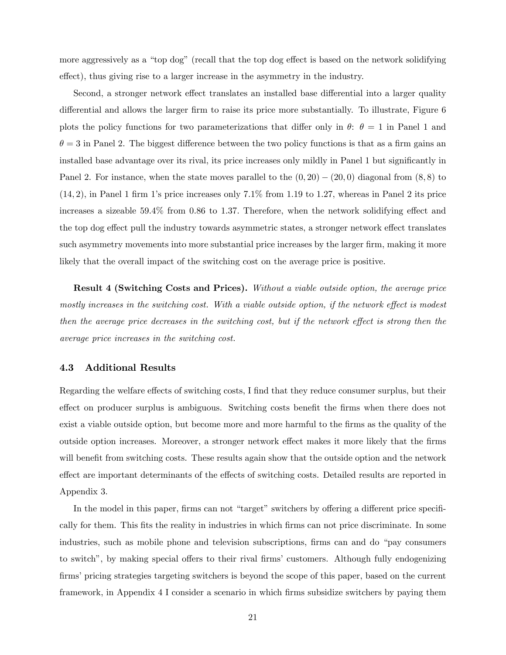more aggressively as a "top dog" (recall that the top dog effect is based on the network solidifying effect), thus giving rise to a larger increase in the asymmetry in the industry.

Second, a stronger network effect translates an installed base differential into a larger quality differential and allows the larger firm to raise its price more substantially. To illustrate, Figure 6 plots the policy functions for two parameterizations that differ only in  $\theta$ :  $\theta = 1$  in Panel 1 and  $\theta = 3$  in Panel 2. The biggest difference between the two policy functions is that as a firm gains an installed base advantage over its rival, its price increases only mildly in Panel 1 but significantly in Panel 2. For instance, when the state moves parallel to the  $(0, 20) - (20, 0)$  diagonal from  $(8, 8)$  to  $(14, 2)$ , in Panel 1 firm 1's price increases only 7.1% from 1.19 to 1.27, whereas in Panel 2 its price increases a sizeable  $59.4\%$  from 0.86 to 1.37. Therefore, when the network solidifying effect and the top dog effect pull the industry towards asymmetric states, a stronger network effect translates such asymmetry movements into more substantial price increases by the larger firm, making it more likely that the overall impact of the switching cost on the average price is positive.

Result 4 (Switching Costs and Prices). Without a viable outside option, the average price mostly increases in the switching cost. With a viable outside option, if the network effect is modest then the average price decreases in the switching cost, but if the network effect is strong then the average price increases in the switching cost.

#### 4.3 Additional Results

Regarding the welfare effects of switching costs, I find that they reduce consumer surplus, but their effect on producer surplus is ambiguous. Switching costs benefit the firms when there does not exist a viable outside option, but become more and more harmful to the firms as the quality of the outside option increases. Moreover, a stronger network effect makes it more likely that the firms will benefit from switching costs. These results again show that the outside option and the network effect are important determinants of the effects of switching costs. Detailed results are reported in Appendix 3.

In the model in this paper, firms can not "target" switchers by offering a different price specifically for them. This fits the reality in industries in which firms can not price discriminate. In some industries, such as mobile phone and television subscriptions, firms can and do "pay consumers" to switch", by making special offers to their rival firms' customers. Although fully endogenizing firms' pricing strategies targeting switchers is beyond the scope of this paper, based on the current framework, in Appendix 4 I consider a scenario in which firms subsidize switchers by paying them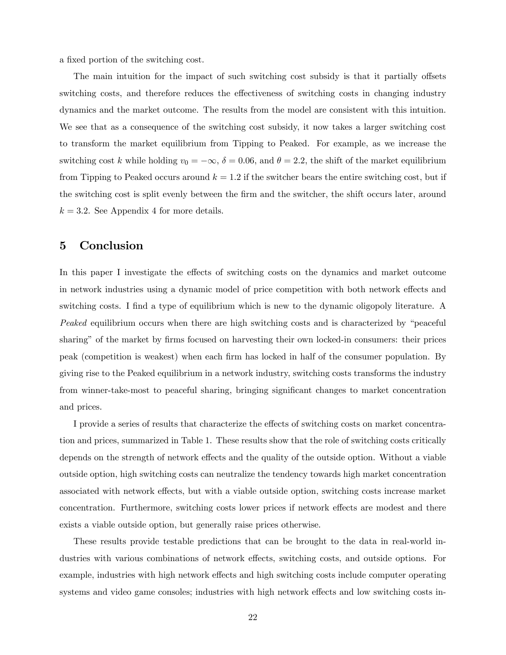a fixed portion of the switching cost.

The main intuition for the impact of such switching cost subsidy is that it partially offsets switching costs, and therefore reduces the effectiveness of switching costs in changing industry dynamics and the market outcome. The results from the model are consistent with this intuition. We see that as a consequence of the switching cost subsidy, it now takes a larger switching cost to transform the market equilibrium from Tipping to Peaked. For example, as we increase the switching cost k while holding  $v_0 = -\infty$ ,  $\delta = 0.06$ , and  $\theta = 2.2$ , the shift of the market equilibrium from Tipping to Peaked occurs around  $k = 1.2$  if the switcher bears the entire switching cost, but if the switching cost is split evenly between the firm and the switcher, the shift occurs later, around  $k = 3.2$ . See Appendix 4 for more details.

# 5 Conclusion

In this paper I investigate the effects of switching costs on the dynamics and market outcome in network industries using a dynamic model of price competition with both network effects and switching costs. I find a type of equilibrium which is new to the dynamic oligopoly literature. A Peaked equilibrium occurs when there are high switching costs and is characterized by "peaceful" sharing" of the market by firms focused on harvesting their own locked-in consumers: their prices peak (competition is weakest) when each firm has locked in half of the consumer population. By giving rise to the Peaked equilibrium in a network industry, switching costs transforms the industry from winner-take-most to peaceful sharing, bringing significant changes to market concentration and prices.

I provide a series of results that characterize the effects of switching costs on market concentration and prices, summarized in Table 1. These results show that the role of switching costs critically depends on the strength of network effects and the quality of the outside option. Without a viable outside option, high switching costs can neutralize the tendency towards high market concentration associated with network effects, but with a viable outside option, switching costs increase market concentration. Furthermore, switching costs lower prices if network effects are modest and there exists a viable outside option, but generally raise prices otherwise.

These results provide testable predictions that can be brought to the data in real-world industries with various combinations of network effects, switching costs, and outside options. For example, industries with high network effects and high switching costs include computer operating systems and video game consoles; industries with high network effects and low switching costs in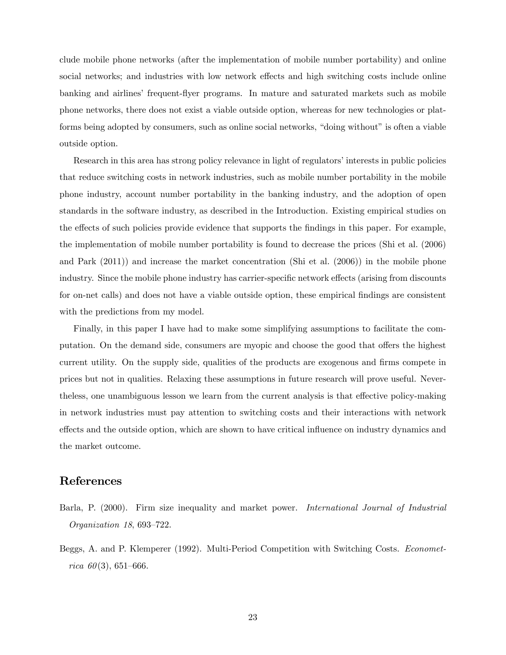clude mobile phone networks (after the implementation of mobile number portability) and online social networks; and industries with low network effects and high switching costs include online banking and airlinesí frequent-áyer programs. In mature and saturated markets such as mobile phone networks, there does not exist a viable outside option, whereas for new technologies or platforms being adopted by consumers, such as online social networks, "doing without" is often a viable outside option.

Research in this area has strong policy relevance in light of regulators' interests in public policies that reduce switching costs in network industries, such as mobile number portability in the mobile phone industry, account number portability in the banking industry, and the adoption of open standards in the software industry, as described in the Introduction. Existing empirical studies on the effects of such policies provide evidence that supports the findings in this paper. For example, the implementation of mobile number portability is found to decrease the prices (Shi et al. (2006) and Park (2011)) and increase the market concentration (Shi et al. (2006)) in the mobile phone industry. Since the mobile phone industry has carrier-specific network effects (arising from discounts for on-net calls) and does not have a viable outside option, these empirical findings are consistent with the predictions from my model.

Finally, in this paper I have had to make some simplifying assumptions to facilitate the computation. On the demand side, consumers are myopic and choose the good that offers the highest current utility. On the supply side, qualities of the products are exogenous and firms compete in prices but not in qualities. Relaxing these assumptions in future research will prove useful. Nevertheless, one unambiguous lesson we learn from the current analysis is that effective policy-making in network industries must pay attention to switching costs and their interactions with network effects and the outside option, which are shown to have critical influence on industry dynamics and the market outcome.

# References

- Barla, P. (2000). Firm size inequality and market power. *International Journal of Industrial* Organization  $18,693-722$ .
- Beggs, A. and P. Klemperer (1992). Multi-Period Competition with Switching Costs. Econometrica  $60(3)$ , 651–666.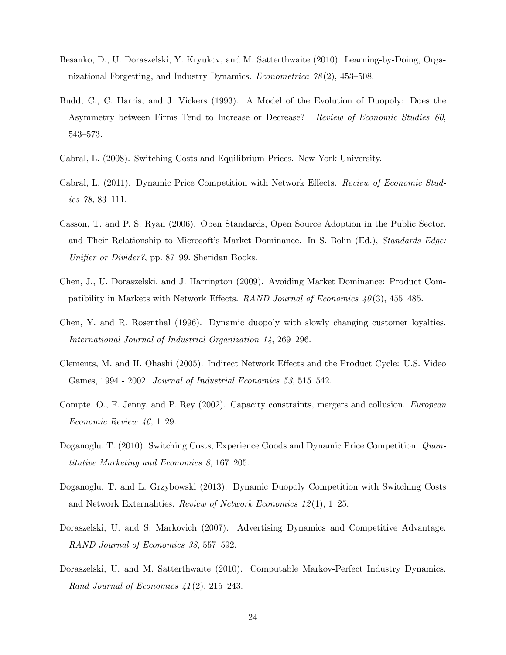- Besanko, D., U. Doraszelski, Y. Kryukov, and M. Satterthwaite (2010). Learning-by-Doing, Organizational Forgetting, and Industry Dynamics. Econometrica  $78(2)$ , 453–508.
- Budd, C., C. Harris, and J. Vickers (1993). A Model of the Evolution of Duopoly: Does the Asymmetry between Firms Tend to Increase or Decrease? Review of Economic Studies 60, 543-573.
- Cabral, L. (2008). Switching Costs and Equilibrium Prices. New York University.
- Cabral, L. (2011). Dynamic Price Competition with Network Effects. Review of Economic Studies  $78, 83 - 111.$
- Casson, T. and P. S. Ryan (2006). Open Standards, Open Source Adoption in the Public Sector, and Their Relationship to Microsoft's Market Dominance. In S. Bolin (Ed.), *Standards Edge:* Unifier or Divider?, pp. 87–99. Sheridan Books.
- Chen, J., U. Doraszelski, and J. Harrington (2009). Avoiding Market Dominance: Product Compatibility in Markets with Network Effects. RAND Journal of Economics  $\mu(0.3)$ , 455–485.
- Chen, Y. and R. Rosenthal (1996). Dynamic duopoly with slowly changing customer loyalties. International Journal of Industrial Organization  $14$ , 269–296.
- Clements, M. and H. Ohashi (2005). Indirect Network Effects and the Product Cycle: U.S. Video Games,  $1994$  -  $2002$ . Journal of Industrial Economics 53, 515-542.
- Compte, O., F. Jenny, and P. Rey (2002). Capacity constraints, mergers and collusion. European Economic Review  $\mu$ 6, 1–29.
- Doganoglu, T. (2010). Switching Costs, Experience Goods and Dynamic Price Competition. Quantitative Marketing and Economics  $8, 167-205$ .
- Doganoglu, T. and L. Grzybowski (2013). Dynamic Duopoly Competition with Switching Costs and Network Externalities. Review of Network Economics 12(1), 1–25.
- Doraszelski, U. and S. Markovich (2007). Advertising Dynamics and Competitive Advantage. RAND Journal of Economics 38, 557-592.
- Doraszelski, U. and M. Satterthwaite (2010). Computable Markov-Perfect Industry Dynamics. Rand Journal of Economics  $41(2)$ ,  $215-243$ .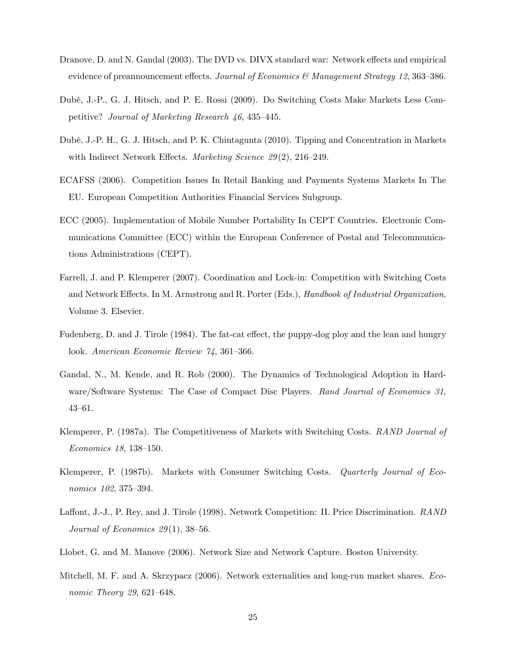- Dranove, D. and N. Gandal (2003). The DVD vs. DIVX standard war: Network effects and empirical evidence of preannouncement effects. Journal of Economics & Management Strategy 12, 363-386.
- DubÈ, J.-P., G. J. Hitsch, and P. E. Rossi (2009). Do Switching Costs Make Markets Less Competitive? Journal of Marketing Research  $46, 435-445$ .
- DubÈ, J.-P. H., G. J. Hitsch, and P. K. Chintagunta (2010). Tipping and Concentration in Markets with Indirect Network Effects. Marketing Science  $29(2)$ , 216–249.
- ECAFSS (2006). Competition Issues In Retail Banking and Payments Systems Markets In The EU. European Competition Authorities Financial Services Subgroup.
- ECC (2005). Implementation of Mobile Number Portability In CEPT Countries. Electronic Communications Committee (ECC) within the European Conference of Postal and Telecommunications Administrations (CEPT).
- Farrell, J. and P. Klemperer (2007). Coordination and Lock-in: Competition with Switching Costs and Network Effects. In M. Armstrong and R. Porter (Eds.), Handbook of Industrial Organization, Volume 3. Elsevier.
- Fudenberg, D. and J. Tirole (1984). The fat-cat effect, the puppy-dog ploy and the lean and hungry look. American Economic Review  $\gamma_{4}$ , 361–366.
- Gandal, N., M. Kende, and R. Rob (2000). The Dynamics of Technological Adoption in Hardware/Software Systems: The Case of Compact Disc Players. Rand Journal of Economics 31,  $43 - 61.$
- Klemperer, P. (1987a). The Competitiveness of Markets with Switching Costs. RAND Journal of  $Economics\ 18, 138–150.$
- Klemperer, P. (1987b). Markets with Consumer Switching Costs. Quarterly Journal of Economics 102, 375–394.
- Laffont, J.-J., P. Rey, and J. Tirole (1998). Network Competition: II. Price Discrimination. RAND Journal of Economics  $29(1)$ , 38-56.
- Llobet, G. and M. Manove (2006). Network Size and Network Capture. Boston University.
- Mitchell, M. F. and A. Skrzypacz (2006). Network externalities and long-run market shares. Economic Theory 29, 621–648.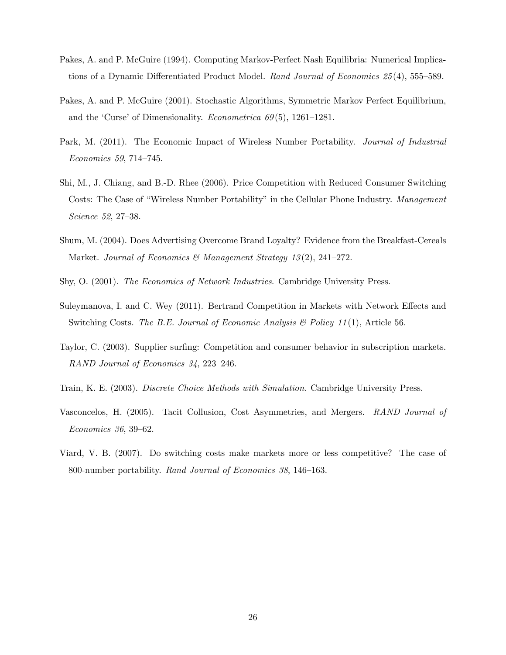- Pakes, A. and P. McGuire (1994). Computing Markov-Perfect Nash Equilibria: Numerical Implications of a Dynamic Differentiated Product Model. Rand Journal of Economics  $25(4)$ , 555–589.
- Pakes, A. and P. McGuire (2001). Stochastic Algorithms, Symmetric Markov Perfect Equilibrium, and the 'Curse' of Dimensionality. *Econometrica 69*(5), 1261–1281.
- Park, M. (2011). The Economic Impact of Wireless Number Portability. *Journal of Industrial*  $Economics 59, 714–745.$
- Shi, M., J. Chiang, and B.-D. Rhee (2006). Price Competition with Reduced Consumer Switching Costs: The Case of "Wireless Number Portability" in the Cellular Phone Industry. Management Science 52, 27–38.
- Shum, M. (2004). Does Advertising Overcome Brand Loyalty? Evidence from the Breakfast-Cereals Market. Journal of Economics & Management Strategy  $13(2)$ , 241-272.
- Shy, O. (2001). The Economics of Network Industries. Cambridge University Press.
- Suleymanova, I. and C. Wey (2011). Bertrand Competition in Markets with Network Effects and Switching Costs. The B.E. Journal of Economic Analysis  $\mathcal B$  Policy 11(1), Article 56.
- Taylor, C. (2003). Supplier surfing: Competition and consumer behavior in subscription markets. RAND Journal of Economics  $34$ , 223-246.
- Train, K. E. (2003). Discrete Choice Methods with Simulation. Cambridge University Press.
- Vasconcelos, H. (2005). Tacit Collusion, Cost Asymmetries, and Mergers. RAND Journal of  $Economics 36, 39–62.$
- Viard, V. B. (2007). Do switching costs make markets more or less competitive? The case of 800-number portability. Rand Journal of Economics 38, 146–163.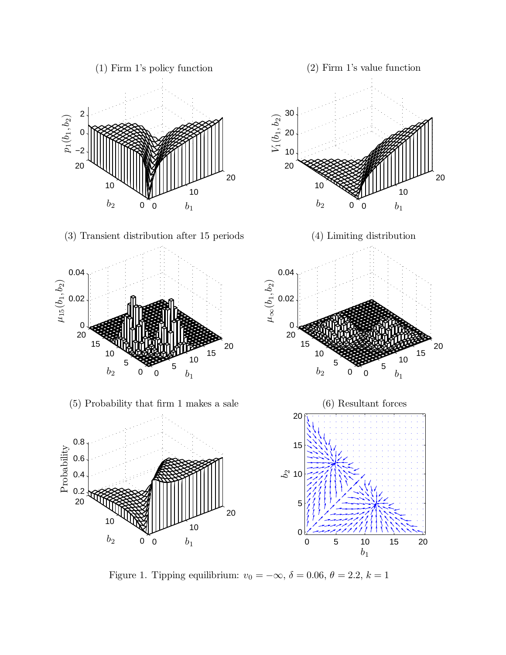

Figure 1. Tipping equilibrium:  $v_0 = -\infty$ ,  $\delta = 0.06$ ,  $\theta = 2.2$ ,  $k = 1$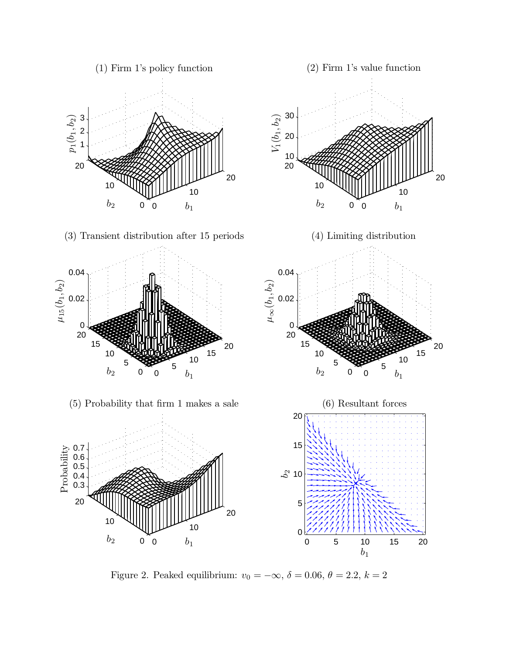

Figure 2. Peaked equilibrium:  $v_0=-\infty, \, \delta=0.06, \, \theta=2.2, \, k=2$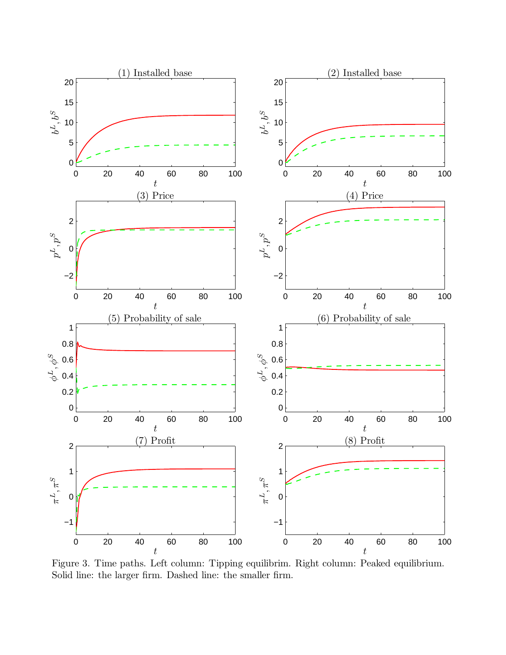

Figure 3. Time paths. Left column: Tipping equilibrim. Right column: Peaked equilibrium. Solid line: the larger firm. Dashed line: the smaller firm.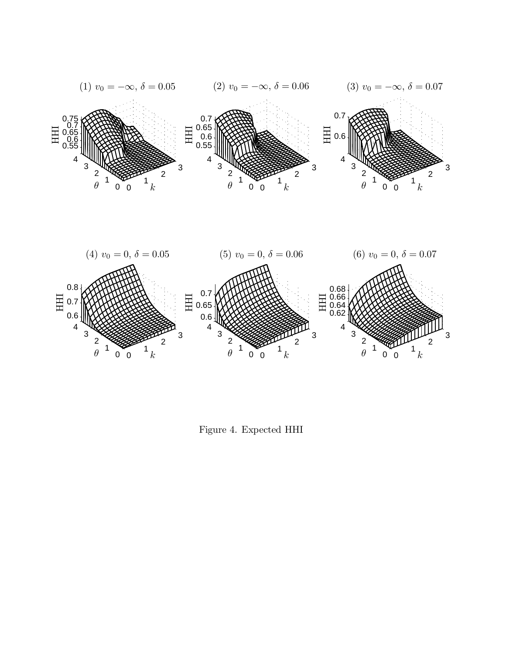



Figure 4. Expected HHI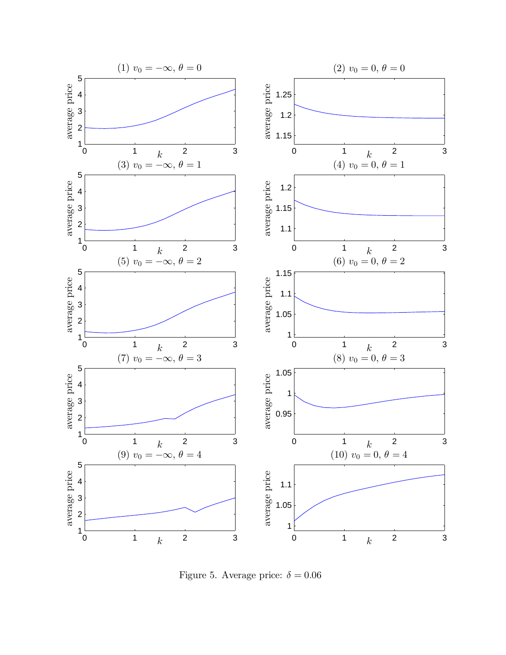

Figure 5. Average price:  $\delta = 0.06$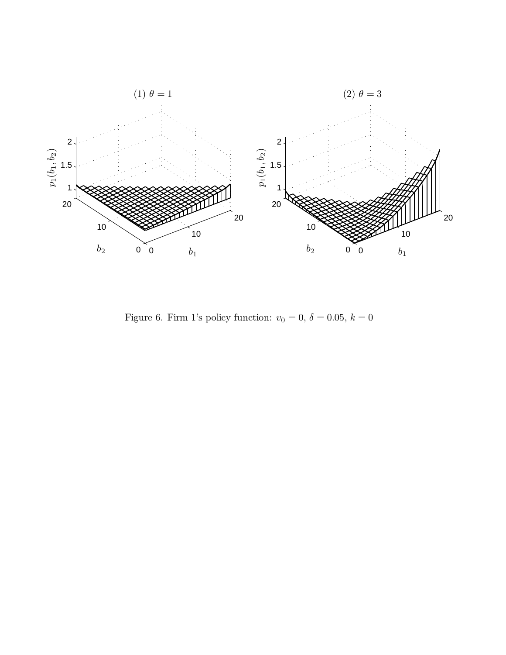

Figure 6. Firm 1's policy function:  $v_0=0,\,\delta=0.05,\,k=0$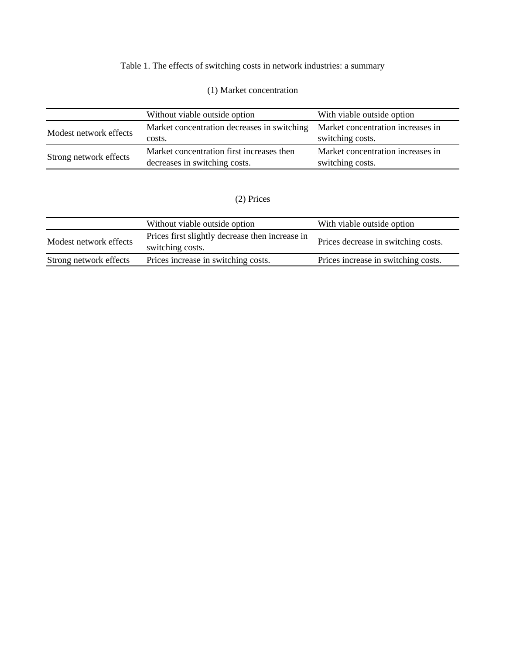# Table 1. The effects of switching costs in network industries: a summary

(1) Market concentration

|                        | Without viable outside option                                                           | With viable outside option                            |  |  |
|------------------------|-----------------------------------------------------------------------------------------|-------------------------------------------------------|--|--|
| Modest network effects | Market concentration decreases in switching Market concentration increases in<br>costs. | switching costs.                                      |  |  |
| Strong network effects | Market concentration first increases then<br>decreases in switching costs.              | Market concentration increases in<br>switching costs. |  |  |

# (2) Prices

|                        | Without viable outside option                                       | With viable outside option          |  |  |
|------------------------|---------------------------------------------------------------------|-------------------------------------|--|--|
| Modest network effects | Prices first slightly decrease then increase in<br>switching costs. | Prices decrease in switching costs. |  |  |
| Strong network effects | Prices increase in switching costs.                                 | Prices increase in switching costs. |  |  |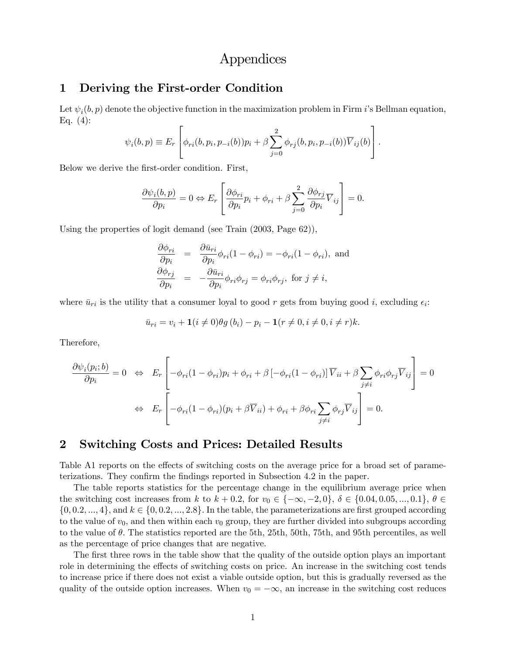# Appendices

# 1 Deriving the First-order Condition

Let  $\psi_i(b, p)$  denote the objective function in the maximization problem in Firm i's Bellman equation, Eq.  $(4)$ :

$$
\psi_i(b, p) \equiv E_r \left[ \phi_{ri}(b, p_i, p_{-i}(b)) p_i + \beta \sum_{j=0}^2 \phi_{rj}(b, p_i, p_{-i}(b)) \overline{V}_{ij}(b) \right].
$$

Below we derive the first-order condition. First,

$$
\frac{\partial \psi_i(b,p)}{\partial p_i} = 0 \Leftrightarrow E_r \left[ \frac{\partial \phi_{ri}}{\partial p_i} p_i + \phi_{ri} + \beta \sum_{j=0}^2 \frac{\partial \phi_{rj}}{\partial p_i} \overline{V}_{ij} \right] = 0.
$$

Using the properties of logit demand (see Train (2003, Page 62)),

$$
\frac{\partial \phi_{ri}}{\partial p_i} = \frac{\partial \bar{u}_{ri}}{\partial p_i} \phi_{ri} (1 - \phi_{ri}) = -\phi_{ri} (1 - \phi_{ri}), \text{ and}
$$

$$
\frac{\partial \phi_{rj}}{\partial p_i} = -\frac{\partial \bar{u}_{ri}}{\partial p_i} \phi_{ri} \phi_{rj} = \phi_{ri} \phi_{rj}, \text{ for } j \neq i,
$$

where  $\bar{u}_{ri}$  is the utility that a consumer loyal to good r gets from buying good i, excluding  $\epsilon_i$ :

$$
\bar{u}_{ri} = v_i + \mathbf{1}(i \neq 0)\theta g(b_i) - p_i - \mathbf{1}(r \neq 0, i \neq 0, i \neq r)k.
$$

Therefore,

$$
\frac{\partial \psi_i(p_i; b)}{\partial p_i} = 0 \Leftrightarrow E_r \left[ -\phi_{ri}(1 - \phi_{ri})p_i + \phi_{ri} + \beta \left[ -\phi_{ri}(1 - \phi_{ri}) \right] \overline{V}_{ii} + \beta \sum_{j \neq i} \phi_{ri} \phi_{rj} \overline{V}_{ij} \right] = 0
$$
  

$$
\Leftrightarrow E_r \left[ -\phi_{ri}(1 - \phi_{ri})(p_i + \beta \overline{V}_{ii}) + \phi_{ri} + \beta \phi_{ri} \sum_{j \neq i} \phi_{rj} \overline{V}_{ij} \right] = 0.
$$

# 2 Switching Costs and Prices: Detailed Results

Table A1 reports on the effects of switching costs on the average price for a broad set of parameterizations. They confirm the findings reported in Subsection 4.2 in the paper.

The table reports statistics for the percentage change in the equilibrium average price when the switching cost increases from k to  $k + 0.2$ , for  $v_0 \in \{-\infty, -2, 0\}, \delta \in \{0.04, 0.05, ..., 0.1\}, \theta \in$  $\{0, 0.2, ..., 4\}$ , and  $k \in \{0, 0.2, ..., 2.8\}$ . In the table, the parameterizations are first grouped according to the value of  $v_0$ , and then within each  $v_0$  group, they are further divided into subgroups according to the value of  $\theta$ . The statistics reported are the 5th, 25th, 50th, 75th, and 95th percentiles, as well as the percentage of price changes that are negative.

The first three rows in the table show that the quality of the outside option plays an important role in determining the effects of switching costs on price. An increase in the switching cost tends to increase price if there does not exist a viable outside option, but this is gradually reversed as the quality of the outside option increases. When  $v_0 = -\infty$ , an increase in the switching cost reduces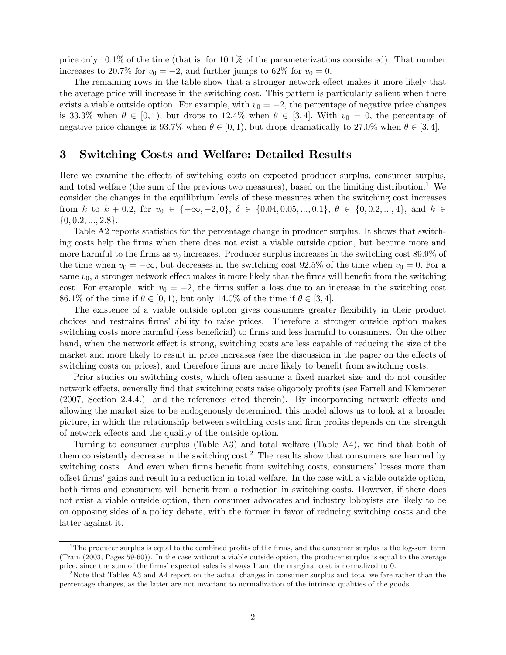price only  $10.1\%$  of the time (that is, for  $10.1\%$  of the parameterizations considered). That number increases to 20.7% for  $v_0 = -2$ , and further jumps to 62% for  $v_0 = 0$ .

The remaining rows in the table show that a stronger network effect makes it more likely that the average price will increase in the switching cost. This pattern is particularly salient when there exists a viable outside option. For example, with  $v_0 = -2$ , the percentage of negative price changes is 33.3% when  $\theta \in [0, 1)$ , but drops to 12.4% when  $\theta \in [3, 4]$ . With  $v_0 = 0$ , the percentage of negative price changes is 93.7% when  $\theta \in [0, 1)$ , but drops dramatically to 27.0% when  $\theta \in [3, 4]$ .

# 3 Switching Costs and Welfare: Detailed Results

Here we examine the effects of switching costs on expected producer surplus, consumer surplus, and total welfare (the sum of the previous two measures), based on the limiting distribution.<sup>1</sup> We consider the changes in the equilibrium levels of these measures when the switching cost increases from k to  $k + 0.2$ , for  $v_0 \in \{-\infty, -2, 0\}$ ,  $\delta \in \{0.04, 0.05, ..., 0.1\}$ ,  $\theta \in \{0, 0.2, ..., 4\}$ , and  $k \in$  $\{0, 0.2, ..., 2.8\}.$ 

Table A2 reports statistics for the percentage change in producer surplus. It shows that switching costs help the Örms when there does not exist a viable outside option, but become more and more harmful to the firms as  $v_0$  increases. Producer surplus increases in the switching cost 89.9% of the time when  $v_0 = -\infty$ , but decreases in the switching cost 92.5% of the time when  $v_0 = 0$ . For a same  $v_0$ , a stronger network effect makes it more likely that the firms will benefit from the switching cost. For example, with  $v_0 = -2$ , the firms suffer a loss due to an increase in the switching cost 86.1% of the time if  $\theta \in [0, 1)$ , but only 14.0% of the time if  $\theta \in [3, 4]$ .

The existence of a viable outside option gives consumers greater flexibility in their product choices and restrains Örmsí ability to raise prices. Therefore a stronger outside option makes switching costs more harmful (less beneficial) to firms and less harmful to consumers. On the other hand, when the network effect is strong, switching costs are less capable of reducing the size of the market and more likely to result in price increases (see the discussion in the paper on the effects of switching costs on prices), and therefore firms are more likely to benefit from switching costs.

Prior studies on switching costs, which often assume a fixed market size and do not consider network effects, generally find that switching costs raise oligopoly profits (see Farrell and Klemperer  $(2007, \text{ Section } 2.4.4.)$  and the references cited therein). By incorporating network effects and allowing the market size to be endogenously determined, this model allows us to look at a broader picture, in which the relationship between switching costs and firm profits depends on the strength of network effects and the quality of the outside option.

Turning to consumer surplus (Table A3) and total welfare (Table A4), we find that both of them consistently decrease in the switching  $\cos t$ .<sup>2</sup> The results show that consumers are harmed by switching costs. And even when firms benefit from switching costs, consumers' losses more than o§set Örmsígains and result in a reduction in total welfare. In the case with a viable outside option, both firms and consumers will benefit from a reduction in switching costs. However, if there does not exist a viable outside option, then consumer advocates and industry lobbyists are likely to be on opposing sides of a policy debate, with the former in favor of reducing switching costs and the latter against it.

<sup>&</sup>lt;sup>1</sup>The producer surplus is equal to the combined profits of the firms, and the consumer surplus is the log-sum term (Train (2003, Pages 59-60)). In the case without a viable outside option, the producer surplus is equal to the average price, since the sum of the firms' expected sales is always 1 and the marginal cost is normalized to 0.

<sup>&</sup>lt;sup>2</sup>Note that Tables A3 and A4 report on the actual changes in consumer surplus and total welfare rather than the percentage changes, as the latter are not invariant to normalization of the intrinsic qualities of the goods.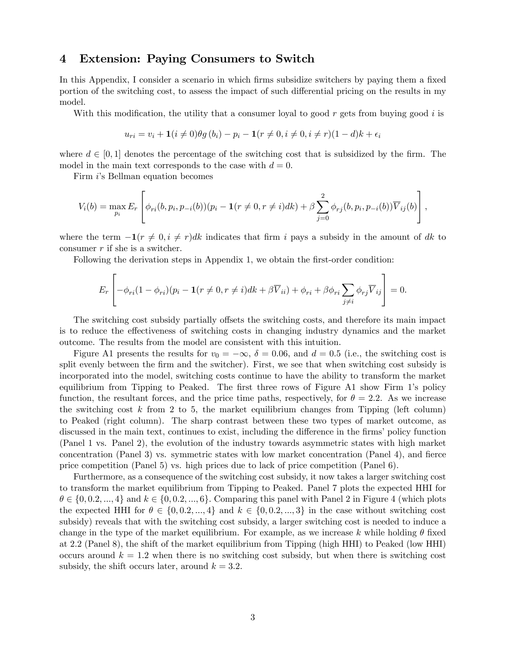### 4 Extension: Paying Consumers to Switch

In this Appendix, I consider a scenario in which firms subsidize switchers by paying them a fixed portion of the switching cost, to assess the impact of such differential pricing on the results in my model.

With this modification, the utility that a consumer loyal to good  $r$  gets from buying good  $i$  is

$$
u_{ri} = v_i + \mathbf{1}(i \neq 0)\theta g(b_i) - p_i - \mathbf{1}(r \neq 0, i \neq 0, i \neq r)(1 - d)k + \epsilon_i
$$

where  $d \in [0, 1]$  denotes the percentage of the switching cost that is subsidized by the firm. The model in the main text corresponds to the case with  $d = 0$ .

Firm iís Bellman equation becomes

$$
V_i(b) = \max_{p_i} E_r \left[ \phi_{ri}(b, p_i, p_{-i}(b))(p_i - \mathbf{1}(r \neq 0, r \neq i)dk) + \beta \sum_{j=0}^2 \phi_{rj}(b, p_i, p_{-i}(b)) \overline{V}_{ij}(b) \right],
$$

where the term  $-1(r \neq 0, i \neq r)dk$  indicates that firm i pays a subsidy in the amount of dk to consumer  $r$  if she is a switcher.

Following the derivation steps in Appendix 1, we obtain the first-order condition:

$$
E_r\left[-\phi_{ri}(1-\phi_{ri})(p_i-1(r \neq 0, r \neq i)dk + \beta \overline{V}_{ii}) + \phi_{ri} + \beta \phi_{ri} \sum_{j \neq i} \phi_{rj} \overline{V}_{ij}\right] = 0.
$$

The switching cost subsidy partially offsets the switching costs, and therefore its main impact is to reduce the effectiveness of switching costs in changing industry dynamics and the market outcome. The results from the model are consistent with this intuition.

Figure A1 presents the results for  $v_0 = -\infty$ ,  $\delta = 0.06$ , and  $d = 0.5$  (i.e., the switching cost is split evenly between the Örm and the switcher). First, we see that when switching cost subsidy is incorporated into the model, switching costs continue to have the ability to transform the market equilibrium from Tipping to Peaked. The first three rows of Figure A1 show Firm 1's policy function, the resultant forces, and the price time paths, respectively, for  $\theta = 2.2$ . As we increase the switching cost  $k$  from 2 to 5, the market equilibrium changes from Tipping (left column) to Peaked (right column). The sharp contrast between these two types of market outcome, as discussed in the main text, continues to exist, including the difference in the firms' policy function (Panel 1 vs. Panel 2), the evolution of the industry towards asymmetric states with high market concentration (Panel 3) vs. symmetric states with low market concentration (Panel 4), and fierce price competition (Panel 5) vs. high prices due to lack of price competition (Panel 6).

Furthermore, as a consequence of the switching cost subsidy, it now takes a larger switching cost to transform the market equilibrium from Tipping to Peaked. Panel 7 plots the expected HHI for  $\theta \in \{0, 0.2, ..., 4\}$  and  $k \in \{0, 0.2, ..., 6\}$ . Comparing this panel with Panel 2 in Figure 4 (which plots the expected HHI for  $\theta \in \{0, 0.2, ..., 4\}$  and  $k \in \{0, 0.2, ..., 3\}$  in the case without switching cost subsidy) reveals that with the switching cost subsidy, a larger switching cost is needed to induce a change in the type of the market equilibrium. For example, as we increase k while holding  $\theta$  fixed at 2.2 (Panel 8), the shift of the market equilibrium from Tipping (high HHI) to Peaked (low HHI) occurs around  $k = 1.2$  when there is no switching cost subsidy, but when there is switching cost subsidy, the shift occurs later, around  $k = 3.2$ .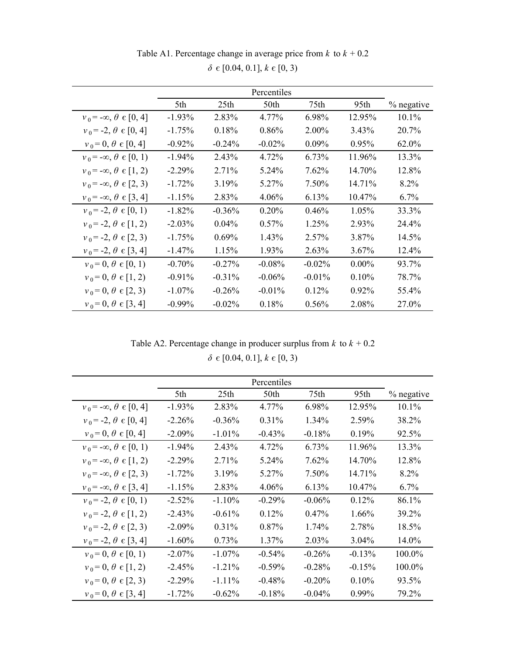Table A1. Percentage change in average price from  $k$  to  $k + 0.2$ 

|                                       | Percentiles |                  |           |          |          |            |
|---------------------------------------|-------------|------------------|-----------|----------|----------|------------|
|                                       | 5th         | 25 <sub>th</sub> | 50th      | 75th     | 95th     | % negative |
| $v_0 = -\infty$ , $\theta \in [0, 4]$ | $-1.93%$    | 2.83%            | 4.77%     | 6.98%    | 12.95%   | 10.1%      |
| $v_0 = -2, \theta \in [0, 4]$         | $-1.75%$    | 0.18%            | 0.86%     | $2.00\%$ | $3.43\%$ | 20.7%      |
| $v_0 = 0, \theta \in [0, 4]$          | $-0.92%$    | $-0.24%$         | $-0.02%$  | 0.09%    | 0.95%    | 62.0%      |
| $v_0 = -\infty$ , $\theta \in [0, 1)$ | $-1.94%$    | 2.43%            | 4.72%     | 6.73%    | 11.96%   | 13.3%      |
| $v_0 = -\infty$ , $\theta \in [1, 2)$ | $-2.29%$    | 2.71%            | 5.24%     | 7.62%    | 14.70%   | 12.8%      |
| $v_0 = -\infty$ , $\theta \in [2, 3)$ | $-1.72%$    | 3.19%            | 5.27%     | 7.50%    | 14.71%   | 8.2%       |
| $v_0 = -\infty$ , $\theta \in [3, 4]$ | $-1.15%$    | 2.83%            | 4.06%     | 6.13%    | 10.47%   | 6.7%       |
| $v_0 = -2, \theta \in [0, 1)$         | $-1.82%$    | $-0.36%$         | 0.20%     | 0.46%    | 1.05%    | 33.3%      |
| $v_0 = -2, \theta \in [1, 2)$         | $-2.03\%$   | 0.04%            | 0.57%     | 1.25%    | 2.93%    | 24.4%      |
| $v_0 = -2, \theta \in [2, 3)$         | $-1.75%$    | 0.69%            | 1.43%     | 2.57%    | 3.87%    | 14.5%      |
| $v_0 = -2, \theta \in [3, 4]$         | $-1.47%$    | 1.15%            | 1.93%     | 2.63%    | 3.67%    | 12.4%      |
| $v_0 = 0, \theta \in [0, 1)$          | $-0.70%$    | $-0.27%$         | $-0.08%$  | $-0.02%$ | $0.00\%$ | 93.7%      |
| $v_0 = 0, \theta \in [1, 2)$          | $-0.91%$    | $-0.31%$         | $-0.06\%$ | $-0.01%$ | 0.10%    | 78.7%      |
| $v_0 = 0, \theta \in [2, 3)$          | $-1.07\%$   | $-0.26%$         | $-0.01%$  | 0.12%    | $0.92\%$ | 55.4%      |
| $v_0 = 0, \theta \in [3, 4]$          | $-0.99\%$   | $-0.02%$         | 0.18%     | 0.56%    | 2.08%    | 27.0%      |

*δ* є [0.04, 0.1], *k* є [0, 3)

*δ* є [0.04, 0.1], *k* є [0, 3) Table A2. Percentage change in producer surplus from  $k$  to  $k + 0.2$ 

|                                       | Percentiles |                  |          |           |          |            |
|---------------------------------------|-------------|------------------|----------|-----------|----------|------------|
|                                       | 5th         | 25 <sub>th</sub> | 50th     | 75th      | 95th     | % negative |
| $v_0 = -\infty$ , $\theta \in [0, 4]$ | $-1.93\%$   | 2.83%            | 4.77%    | 6.98%     | 12.95%   | 10.1%      |
| $v_0 = -2, \theta \in [0, 4]$         | $-2.26%$    | $-0.36%$         | $0.31\%$ | 1.34%     | 2.59%    | 38.2%      |
| $v_0 = 0, \theta \in [0, 4]$          | $-2.09\%$   | $-1.01%$         | $-0.43%$ | $-0.18%$  | 0.19%    | 92.5%      |
| $v_0 = -\infty$ , $\theta \in [0, 1)$ | $-1.94%$    | 2.43%            | 4.72%    | 6.73%     | 11.96%   | 13.3%      |
| $v_0 = -\infty$ , $\theta \in [1, 2)$ | $-2.29%$    | 2.71%            | 5.24%    | 7.62%     | 14.70%   | 12.8%      |
| $v_0 = -\infty$ , $\theta \in [2, 3)$ | $-1.72%$    | 3.19%            | 5.27%    | 7.50%     | 14.71%   | $8.2\%$    |
| $v_0 = -\infty$ , $\theta \in [3, 4]$ | $-1.15%$    | 2.83%            | 4.06%    | 6.13%     | 10.47%   | 6.7%       |
| $v_0 = -2, \theta \in [0, 1)$         | $-2.52%$    | $-1.10%$         | $-0.29%$ | $-0.06\%$ | 0.12%    | 86.1%      |
| $v_0 = -2, \theta \in [1, 2)$         | $-2.43%$    | $-0.61%$         | 0.12%    | 0.47%     | 1.66%    | 39.2%      |
| $v_0 = -2, \theta \in [2, 3)$         | $-2.09\%$   | $0.31\%$         | 0.87%    | 1.74%     | 2.78%    | 18.5%      |
| $v_0 = -2, \theta \in [3, 4]$         | $-1.60%$    | 0.73%            | 1.37%    | 2.03%     | $3.04\%$ | 14.0%      |
| $v_0 = 0, \theta \in [0, 1)$          | $-2.07\%$   | $-1.07\%$        | $-0.54%$ | $-0.26%$  | $-0.13%$ | 100.0%     |
| $v_0 = 0, \theta \in [1, 2)$          | $-2.45%$    | $-1.21%$         | $-0.59%$ | $-0.28%$  | $-0.15%$ | 100.0%     |
| $v_0 = 0, \theta \in [2, 3)$          | $-2.29%$    | $-1.11\%$        | $-0.48%$ | $-0.20%$  | 0.10%    | 93.5%      |
| $v_0 = 0, \theta \in [3, 4]$          | $-1.72%$    | $-0.62%$         | $-0.18%$ | $-0.04\%$ | $0.99\%$ | 79.2%      |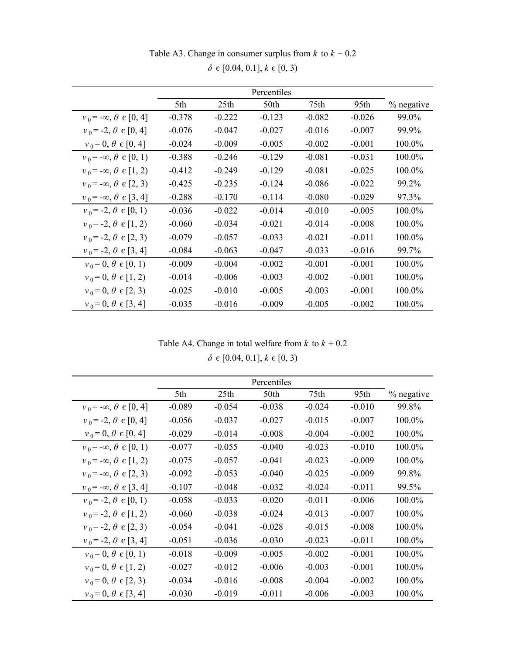Table A3. Change in consumer surplus from  $k$  to  $k + 0.2$ 

|                                       | Percentiles |                  |          |          |          |            |
|---------------------------------------|-------------|------------------|----------|----------|----------|------------|
|                                       | 5th         | 25 <sub>th</sub> | 50th     | 75th     | 95th     | % negative |
| $v_0 = -\infty$ , $\theta \in [0, 4]$ | $-0.378$    | $-0.222$         | $-0.123$ | $-0.082$ | $-0.026$ | 99.0%      |
| $v_0 = -2, \theta \in [0, 4]$         | $-0.076$    | $-0.047$         | $-0.027$ | $-0.016$ | $-0.007$ | 99.9%      |
| $v_0 = 0, \theta \in [0, 4]$          | $-0.024$    | $-0.009$         | $-0.005$ | $-0.002$ | $-0.001$ | 100.0%     |
| $v_0 = -\infty$ , $\theta \in [0, 1)$ | $-0.388$    | $-0.246$         | $-0.129$ | $-0.081$ | $-0.031$ | 100.0%     |
| $v_0 = -\infty$ , $\theta \in [1, 2)$ | $-0.412$    | $-0.249$         | $-0.129$ | $-0.081$ | $-0.025$ | 100.0%     |
| $v_0 = -\infty$ , $\theta \in [2, 3)$ | $-0.425$    | $-0.235$         | $-0.124$ | $-0.086$ | $-0.022$ | 99.2%      |
| $v_0 = -\infty$ , $\theta \in [3, 4]$ | $-0.288$    | $-0.170$         | $-0.114$ | $-0.080$ | $-0.029$ | 97.3%      |
| $v_0 = -2, \theta \in [0, 1)$         | $-0.036$    | $-0.022$         | $-0.014$ | $-0.010$ | $-0.005$ | 100.0%     |
| $v_0 = -2, \theta \in [1, 2)$         | $-0.060$    | $-0.034$         | $-0.021$ | $-0.014$ | $-0.008$ | 100.0%     |
| $v_0 = -2, \theta \in [2, 3)$         | $-0.079$    | $-0.057$         | $-0.033$ | $-0.021$ | $-0.011$ | 100.0%     |
| $v_0 = -2, \theta \in [3, 4]$         | $-0.084$    | $-0.063$         | $-0.047$ | $-0.033$ | $-0.016$ | 99.7%      |
| $v_0 = 0, \theta \in [0, 1)$          | $-0.009$    | $-0.004$         | $-0.002$ | $-0.001$ | $-0.001$ | 100.0%     |
| $v_0 = 0, \theta \in [1, 2)$          | $-0.014$    | $-0.006$         | $-0.003$ | $-0.002$ | $-0.001$ | 100.0%     |
| $v_0 = 0, \theta \in [2, 3)$          | $-0.025$    | $-0.010$         | $-0.005$ | $-0.003$ | $-0.001$ | 100.0%     |
| $v_0 = 0, \theta \in [3, 4]$          | $-0.035$    | $-0.016$         | $-0.009$ | $-0.005$ | $-0.002$ | 100.0%     |

*δ* є [0.04, 0.1], *k* є [0, 3)

*δ* є [0.04, 0.1], *k* є [0, 3) Table A4. Change in total welfare from  $k$  to  $k + 0.2$ 

|                                       | Percentiles |                  |          |          |          |              |
|---------------------------------------|-------------|------------------|----------|----------|----------|--------------|
|                                       | 5th         | 25 <sub>th</sub> | 50th     | 75th     | 95th     | $%$ negative |
| $v_0 = -\infty$ , $\theta \in [0, 4]$ | $-0.089$    | $-0.054$         | $-0.038$ | $-0.024$ | $-0.010$ | 99.8%        |
| $v_0 = -2, \theta \in [0, 4]$         | $-0.056$    | $-0.037$         | $-0.027$ | $-0.015$ | $-0.007$ | 100.0%       |
| $v_0 = 0, \theta \in [0, 4]$          | $-0.029$    | $-0.014$         | $-0.008$ | $-0.004$ | $-0.002$ | 100.0%       |
| $v_0 = -\infty$ , $\theta \in [0, 1)$ | $-0.077$    | $-0.055$         | $-0.040$ | $-0.023$ | $-0.010$ | 100.0%       |
| $v_0 = -\infty$ , $\theta \in [1, 2)$ | $-0.075$    | $-0.057$         | $-0.041$ | $-0.023$ | $-0.009$ | 100.0%       |
| $v_0 = -\infty$ , $\theta \in [2, 3)$ | $-0.092$    | $-0.053$         | $-0.040$ | $-0.025$ | $-0.009$ | 99.8%        |
| $v_0 = -\infty$ , $\theta \in [3, 4]$ | $-0.107$    | $-0.048$         | $-0.032$ | $-0.024$ | $-0.011$ | 99.5%        |
| $v_0 = -2, \theta \in [0, 1)$         | $-0.058$    | $-0.033$         | $-0.020$ | $-0.011$ | $-0.006$ | 100.0%       |
| $v_0 = -2, \theta \in [1, 2)$         | $-0.060$    | $-0.038$         | $-0.024$ | $-0.013$ | $-0.007$ | 100.0%       |
| $v_0 = -2, \theta \in [2, 3)$         | $-0.054$    | $-0.041$         | $-0.028$ | $-0.015$ | $-0.008$ | 100.0%       |
| $v_0 = -2, \theta \in [3, 4]$         | $-0.051$    | $-0.036$         | $-0.030$ | $-0.023$ | $-0.011$ | 100.0%       |
| $v_0 = 0, \theta \in [0, 1)$          | $-0.018$    | $-0.009$         | $-0.005$ | $-0.002$ | $-0.001$ | 100.0%       |
| $v_0 = 0, \theta \in [1, 2)$          | $-0.027$    | $-0.012$         | $-0.006$ | $-0.003$ | $-0.001$ | 100.0%       |
| $v_0 = 0, \theta \in [2, 3)$          | $-0.034$    | $-0.016$         | $-0.008$ | $-0.004$ | $-0.002$ | 100.0%       |
| $v_0 = 0, \theta \in [3, 4]$          | $-0.030$    | $-0.019$         | $-0.011$ | $-0.006$ | $-0.003$ | 100.0%       |